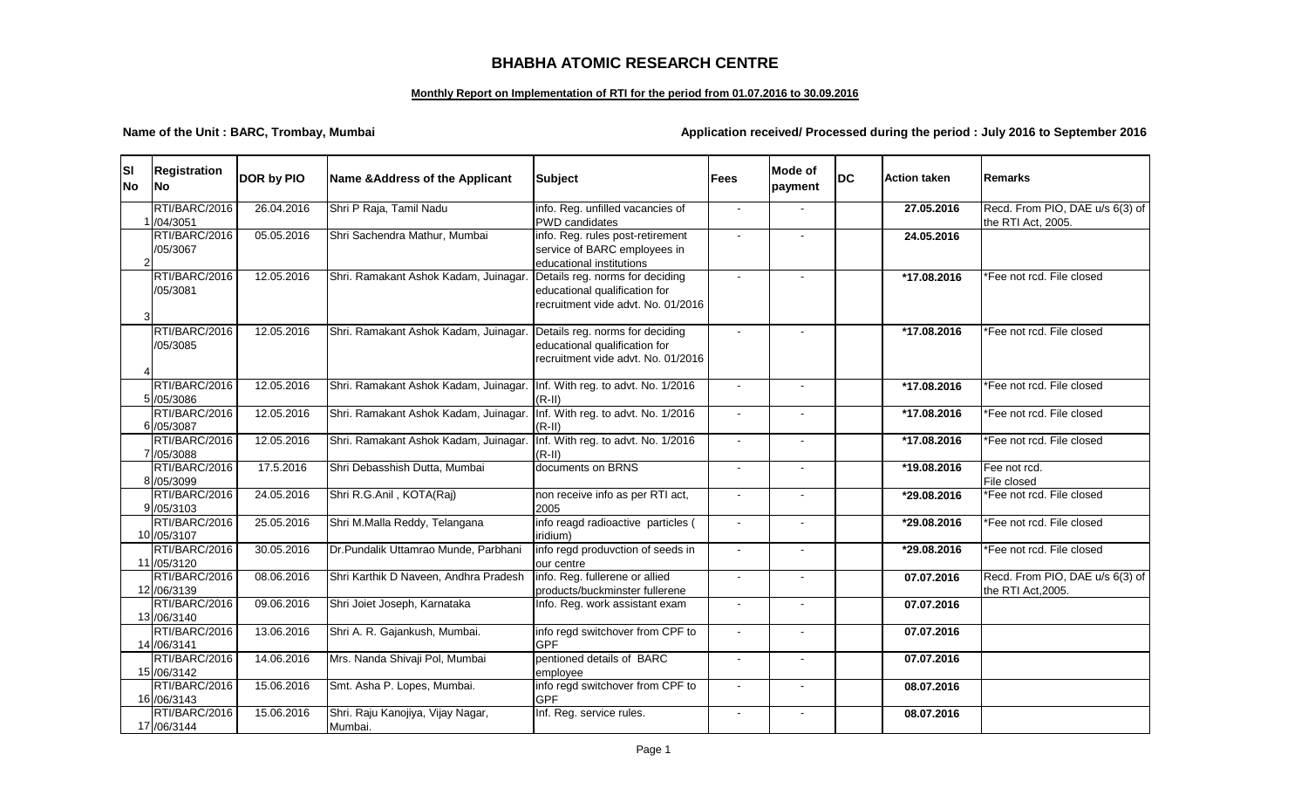## **BHABHA ATOMIC RESEARCH CENTRE**

## **Monthly Report on Implementation of RTI for the period from 01.07.2016 to 30.09.2016**

**Name of the Unit : BARC, Trombay, Mumbai Application received/ Processed during the period : July 2016 to September 2016** 

| <b>SI</b><br><b>No</b> | Registration<br><b>No</b>     | DOR by PIO | Name & Address of the Applicant                                          | <b>Subject</b>                                                                                         | <b>Fees</b> | <b>Mode of</b><br>payment | <b>DC</b> | <b>Action taken</b> | <b>Remarks</b>                                        |
|------------------------|-------------------------------|------------|--------------------------------------------------------------------------|--------------------------------------------------------------------------------------------------------|-------------|---------------------------|-----------|---------------------|-------------------------------------------------------|
|                        | RTI/BARC/2016<br>/04/3051     | 26.04.2016 | Shri P Raja, Tamil Nadu                                                  | info. Reg. unfilled vacancies of<br><b>PWD</b> candidates                                              |             |                           |           | 27.05.2016          | Recd. From PIO, DAE u/s 6(3) of<br>the RTI Act, 2005. |
|                        | RTI/BARC/2016<br>/05/3067     | 05.05.2016 | Shri Sachendra Mathur, Mumbai                                            | info. Reg. rules post-retirement<br>service of BARC employees in<br>educational institutions           |             |                           |           | 24.05.2016          |                                                       |
|                        | RTI/BARC/2016<br>/05/3081     | 12.05.2016 | Shri. Ramakant Ashok Kadam, Juinagar.                                    | Details reg. norms for deciding<br>educational qualification for<br>recruitment vide advt. No. 01/2016 |             |                           |           | *17.08.2016         | *Fee not rcd. File closed                             |
|                        | RTI/BARC/2016<br>/05/3085     | 12.05.2016 | Shri. Ramakant Ashok Kadam, Juinagar.                                    | Details reg. norms for deciding<br>educational qualification for<br>recruitment vide advt. No. 01/2016 |             |                           |           | *17.08.2016         | *Fee not rcd. File closed                             |
|                        | RTI/BARC/2016<br>5 /05/3086   | 12.05.2016 | Shri. Ramakant Ashok Kadam, Juinagar. Inf. With reg. to advt. No. 1/2016 | $(R-II)$                                                                                               |             |                           |           | *17.08.2016         | *Fee not rcd. File closed                             |
|                        | RTI/BARC/2016<br>6 /05/3087   | 12.05.2016 | Shri. Ramakant Ashok Kadam, Juinagar.                                    | Inf. With reg. to advt. No. 1/2016<br>$(R-II)$                                                         |             |                           |           | *17.08.2016         | *Fee not rcd. File closed                             |
|                        | RTI/BARC/2016<br>7 /05/3088   | 12.05.2016 | Shri. Ramakant Ashok Kadam, Juinagar.                                    | Inf. With reg. to advt. No. 1/2016<br>$(R-II)$                                                         |             |                           |           | *17.08.2016         | *Fee not rcd. File closed                             |
|                        | RTI/BARC/2016<br>8 /05/3099   | 17.5.2016  | Shri Debasshish Dutta, Mumbai                                            | documents on BRNS                                                                                      |             | $\overline{a}$            |           | *19.08.2016         | Fee not rcd.<br>File closed                           |
|                        | RTI/BARC/2016<br>9 /05/3103   | 24.05.2016 | Shri R.G.Anil, KOTA(Raj)                                                 | non receive info as per RTI act,<br>2005                                                               |             |                           |           | *29.08.2016         | *Fee not rcd. File closed                             |
|                        | RTI/BARC/2016<br>10 /05/3107  | 25.05.2016 | Shri M.Malla Reddy, Telangana                                            | info reagd radioactive particles (<br>iridium)                                                         | $\sim$      | $\sim$                    |           | *29.08.2016         | *Fee not rcd. File closed                             |
|                        | RTI/BARC/2016<br>11 /05/3120  | 30.05.2016 | Dr.Pundalik Uttamrao Munde, Parbhani                                     | info regd produvction of seeds in<br>our centre                                                        |             |                           |           | *29.08.2016         | *Fee not rcd. File closed                             |
|                        | RTI/BARC/2016<br>12 /06/3139  | 08.06.2016 | Shri Karthik D Naveen, Andhra Pradesh                                    | info. Reg. fullerene or allied<br>products/buckminster fullerene                                       |             | $\overline{a}$            |           | 07.07.2016          | Recd. From PIO, DAE u/s 6(3) of<br>the RTI Act, 2005. |
|                        | RTI/BARC/2016<br>13/06/3140   | 09.06.2016 | Shri Joiet Joseph, Karnataka                                             | Info. Reg. work assistant exam                                                                         |             |                           |           | 07.07.2016          |                                                       |
|                        | RTI/BARC/2016<br>14 /06/3141  | 13.06.2016 | Shri A. R. Gajankush, Mumbai.                                            | info regd switchover from CPF to<br><b>GPF</b>                                                         |             | $\overline{a}$            |           | 07.07.2016          |                                                       |
|                        | RTI/BARC/2016<br>15/06/3142   | 14.06.2016 | Mrs. Nanda Shivaji Pol, Mumbai                                           | pentioned details of BARC<br>emplovee                                                                  |             | $\overline{a}$            |           | 07.07.2016          |                                                       |
|                        | RTI/BARC/2016<br>16 /06/3143  | 15.06.2016 | Smt. Asha P. Lopes, Mumbai.                                              | info regd switchover from CPF to<br><b>GPF</b>                                                         |             |                           |           | 08.07.2016          |                                                       |
|                        | RTI/BARC/2016<br>17 / 06/3144 | 15.06.2016 | Shri. Raju Kanojiya, Vijay Nagar,<br>Mumbai.                             | Inf. Reg. service rules.                                                                               |             | $\overline{a}$            |           | 08.07.2016          |                                                       |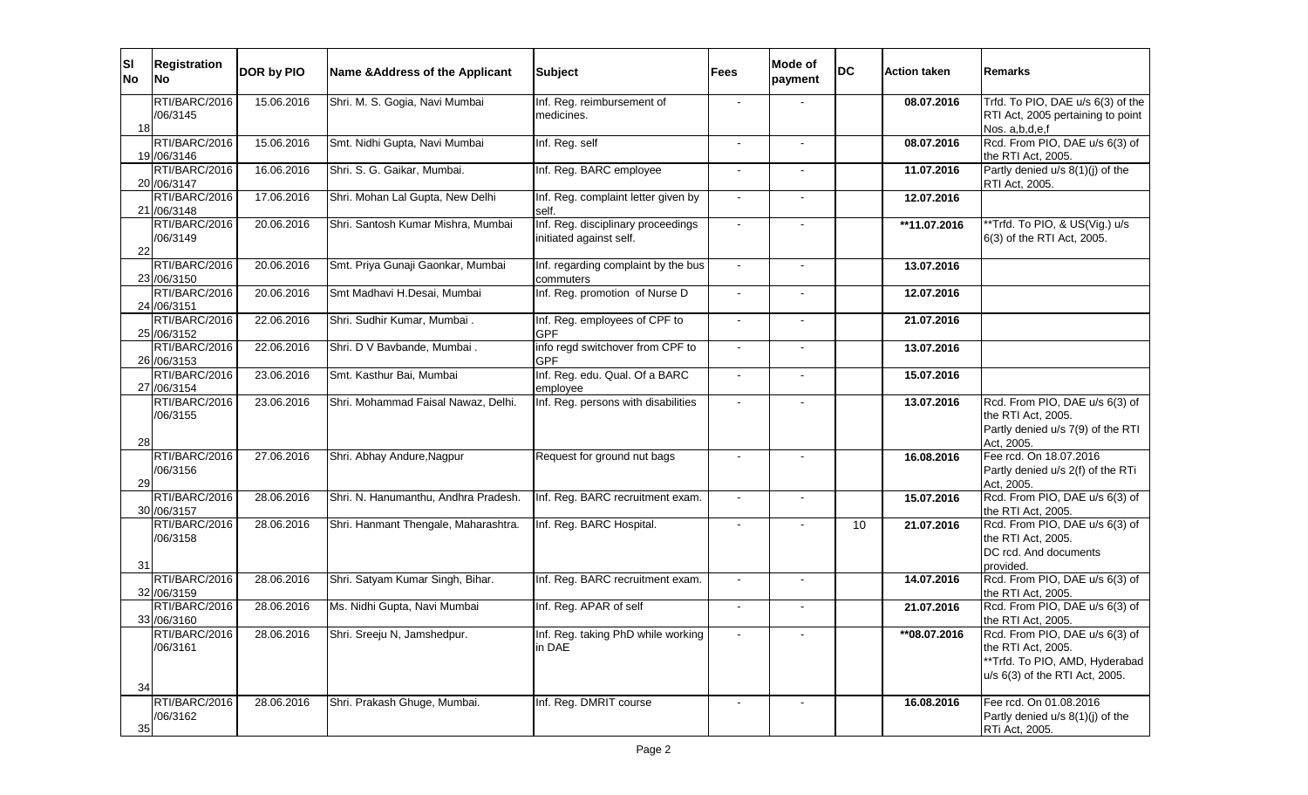| <b>SI</b><br><b>No</b> | <b>Registration</b><br><b>INo</b> | DOR by PIO | Name & Address of the Applicant      | <b>Subject</b>                                 | <b>Fees</b>              | Mode of<br>payment           | <b>DC</b> | <b>Action taken</b> | <b>Remarks</b>                                   |
|------------------------|-----------------------------------|------------|--------------------------------------|------------------------------------------------|--------------------------|------------------------------|-----------|---------------------|--------------------------------------------------|
|                        | RTI/BARC/2016                     | 15.06.2016 | Shri. M. S. Gogia, Navi Mumbai       | Inf. Reg. reimbursement of                     |                          |                              |           | 08.07.2016          | Trfd. To PIO, DAE u/s 6(3) of the                |
|                        | /06/3145                          |            |                                      | medicines.                                     |                          |                              |           |                     | RTI Act, 2005 pertaining to point                |
| 18                     | RTI/BARC/2016                     |            |                                      |                                                |                          |                              |           |                     | Nos. a,b,d,e,f<br>Rcd. From PIO, DAE u/s 6(3) of |
|                        | 19 / 06/3146                      | 15.06.2016 | Smt. Nidhi Gupta, Navi Mumbai        | Inf. Reg. self                                 | $\overline{\phantom{a}}$ | $\overline{\phantom{a}}$     |           | 08.07.2016          | the RTI Act, 2005.                               |
|                        | RTI/BARC/2016                     | 16.06.2016 | Shri. S. G. Gaikar, Mumbai.          | Inf. Reg. BARC employee                        | $\blacksquare$           |                              |           | 11.07.2016          | Partly denied u/s 8(1)(j) of the                 |
|                        | 20 / 06/3147                      |            |                                      |                                                |                          |                              |           |                     | RTI Act, 2005.                                   |
|                        | RTI/BARC/2016                     | 17.06.2016 | Shri. Mohan Lal Gupta, New Delhi     | Inf. Reg. complaint letter given by            |                          | $\overline{\phantom{a}}$     |           | 12.07.2016          |                                                  |
|                        | 21 /06/3148<br>RTI/BARC/2016      | 20.06.2016 | Shri. Santosh Kumar Mishra, Mumbai   | self.<br>Inf. Reg. disciplinary proceedings    |                          |                              |           |                     | **Trfd. To PIO, & US(Vig.) u/s                   |
|                        | /06/3149                          |            |                                      | initiated against self.                        |                          |                              |           | **11.07.2016        | 6(3) of the RTI Act, 2005.                       |
| 22                     |                                   |            |                                      |                                                |                          |                              |           |                     |                                                  |
|                        | RTI/BARC/2016                     | 20.06.2016 | Smt. Priya Gunaji Gaonkar, Mumbai    | Inf. regarding complaint by the bus            |                          |                              |           | 13.07.2016          |                                                  |
|                        | 23 /06/3150                       |            |                                      | commuters                                      |                          |                              |           |                     |                                                  |
|                        | RTI/BARC/2016                     | 20.06.2016 | Smt Madhavi H.Desai, Mumbai          | Inf. Reg. promotion of Nurse D                 |                          | $\overline{\phantom{a}}$     |           | 12.07.2016          |                                                  |
|                        | 24 /06/3151                       |            |                                      |                                                |                          |                              |           |                     |                                                  |
|                        | RTI/BARC/2016                     | 22.06.2016 | Shri. Sudhir Kumar, Mumbai.          | Inf. Reg. employees of CPF to                  |                          |                              |           | 21.07.2016          |                                                  |
|                        | 25 /06/3152                       |            |                                      | <b>GPF</b>                                     |                          |                              |           |                     |                                                  |
|                        | RTI/BARC/2016<br>26 / 06/3153     | 22.06.2016 | Shri. D V Bavbande, Mumbai.          | info regd switchover from CPF to<br><b>GPF</b> |                          | $\blacksquare$               |           | 13.07.2016          |                                                  |
|                        | RTI/BARC/2016                     | 23.06.2016 | Smt. Kasthur Bai, Mumbai             | Inf. Reg. edu. Qual. Of a BARC                 |                          |                              |           | 15.07.2016          |                                                  |
|                        | 27 /06/3154                       |            |                                      | employee                                       |                          |                              |           |                     |                                                  |
|                        | RTI/BARC/2016                     | 23.06.2016 | Shri. Mohammad Faisal Nawaz, Delhi.  | Inf. Reg. persons with disabilities            |                          | $\blacksquare$               |           | 13.07.2016          | Rcd. From PIO, DAE u/s 6(3) of                   |
|                        | /06/3155                          |            |                                      |                                                |                          |                              |           |                     | the RTI Act, 2005.                               |
|                        |                                   |            |                                      |                                                |                          |                              |           |                     | Partly denied u/s 7(9) of the RTI                |
| 28                     | RTI/BARC/2016                     | 27.06.2016 | Shri. Abhay Andure, Nagpur           | Request for ground nut bags                    |                          | $\blacksquare$               |           | 16.08.2016          | Act, 2005.<br>Fee rcd. On 18.07.2016             |
|                        | /06/3156                          |            |                                      |                                                |                          |                              |           |                     | Partly denied u/s 2(f) of the RTi                |
| 29                     |                                   |            |                                      |                                                |                          |                              |           |                     | Act, 2005.                                       |
|                        | RTI/BARC/2016                     | 28.06.2016 | Shri. N. Hanumanthu, Andhra Pradesh. | Inf. Reg. BARC recruitment exam.               | $\blacksquare$           | $\overline{\phantom{a}}$     |           | 15.07.2016          | Rcd. From PIO, DAE u/s 6(3) of                   |
|                        | 30 /06/3157                       |            |                                      |                                                |                          |                              |           |                     | the RTI Act, 2005.                               |
|                        | RTI/BARC/2016                     | 28.06.2016 | Shri. Hanmant Thengale, Maharashtra. | Inf. Reg. BARC Hospital.                       |                          |                              | 10        | 21.07.2016          | Rcd. From PIO, DAE u/s 6(3) of                   |
|                        | /06/3158                          |            |                                      |                                                |                          |                              |           |                     | the RTI Act, 2005.                               |
|                        |                                   |            |                                      |                                                |                          |                              |           |                     | DC rcd. And documents                            |
| 31                     | RTI/BARC/2016                     | 28.06.2016 | Shri. Satyam Kumar Singh, Bihar.     | Inf. Reg. BARC recruitment exam.               | $\blacksquare$           | $\blacksquare$               |           | 14.07.2016          | provided.<br>Rcd. From PIO, DAE u/s 6(3) of      |
|                        | 32 /06/3159                       |            |                                      |                                                |                          |                              |           |                     | the RTI Act, 2005.                               |
|                        | RTI/BARC/2016                     | 28.06.2016 | Ms. Nidhi Gupta, Navi Mumbai         | Inf. Reg. APAR of self                         |                          | $\qquad \qquad \blacksquare$ |           | 21.07.2016          | Rcd. From PIO, DAE u/s 6(3) of                   |
|                        | 33 /06/3160                       |            |                                      |                                                |                          |                              |           |                     | the RTI Act, 2005.                               |
|                        | RTI/BARC/2016                     | 28.06.2016 | Shri. Sreeju N, Jamshedpur.          | Inf. Reg. taking PhD while working             | $\sim$                   |                              |           | **08.07.2016        | Rcd. From PIO, DAE u/s 6(3) of                   |
|                        | /06/3161                          |            |                                      | in DAE                                         |                          |                              |           |                     | the RTI Act, 2005.                               |
|                        |                                   |            |                                      |                                                |                          |                              |           |                     | **Trfd. To PIO, AMD, Hyderabad                   |
| 34                     |                                   |            |                                      |                                                |                          |                              |           |                     | u/s 6(3) of the RTI Act, 2005.                   |
|                        | RTI/BARC/2016                     | 28.06.2016 | Shri. Prakash Ghuge, Mumbai.         | Inf. Reg. DMRIT course                         |                          | $\blacksquare$               |           | 16.08.2016          | Fee rcd. On 01.08.2016                           |
|                        | /06/3162                          |            |                                      |                                                |                          |                              |           |                     | Partly denied u/s 8(1)(j) of the                 |
| 35                     |                                   |            |                                      |                                                |                          |                              |           |                     | RTi Act, 2005.                                   |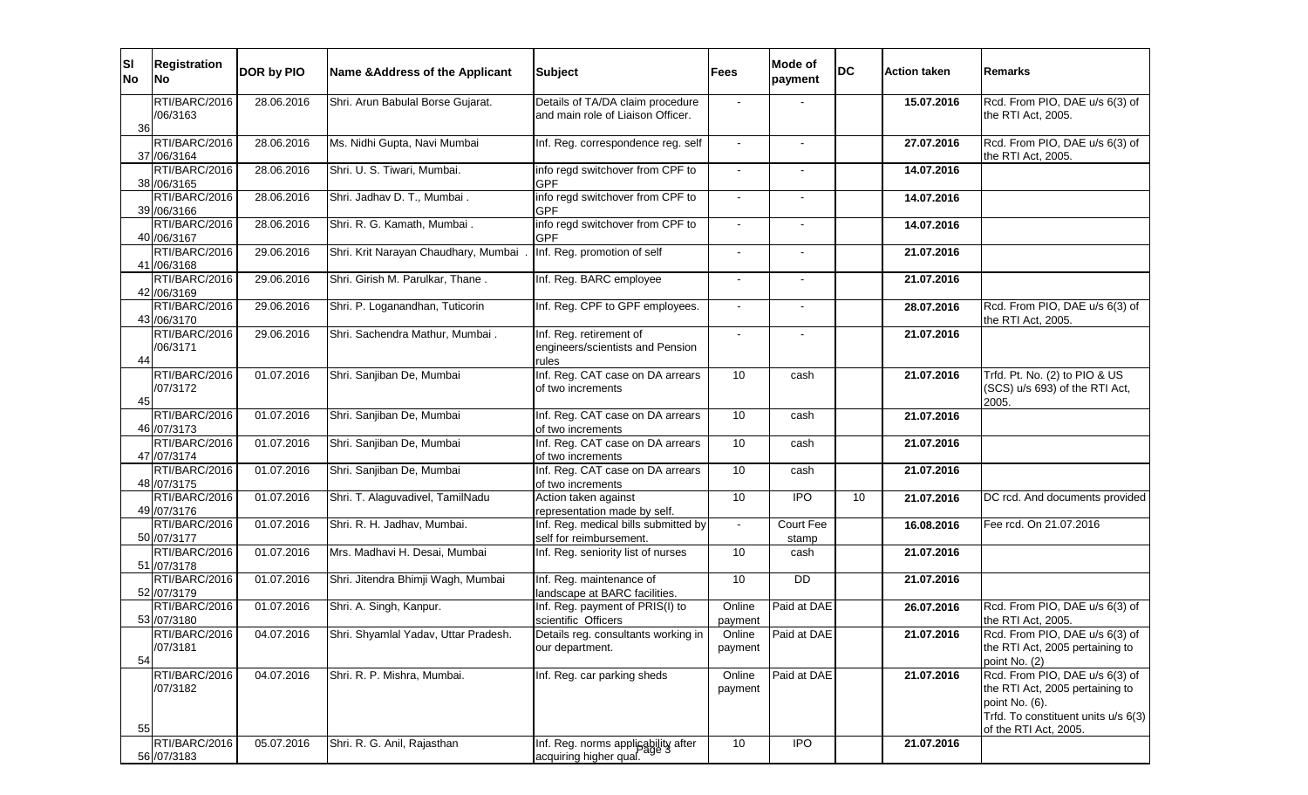| ΙSΙ<br><b>No</b> | <b>Registration</b><br>No     | DOR by PIO | Name & Address of the Applicant       | <b>Subject</b>                                                        | <b>Fees</b>       | Mode of<br>payment | <b>DC</b> | <b>Action taken</b> | lRemarks                                                                                                                                            |
|------------------|-------------------------------|------------|---------------------------------------|-----------------------------------------------------------------------|-------------------|--------------------|-----------|---------------------|-----------------------------------------------------------------------------------------------------------------------------------------------------|
| 36               | RTI/BARC/2016<br>/06/3163     | 28.06.2016 | Shri. Arun Babulal Borse Gujarat.     | Details of TA/DA claim procedure<br>and main role of Liaison Officer. |                   |                    |           | 15.07.2016          | Rcd. From PIO, DAE u/s 6(3) of<br>the RTI Act, 2005.                                                                                                |
|                  | RTI/BARC/2016<br>37 /06/3164  | 28.06.2016 | Ms. Nidhi Gupta, Navi Mumbai          | Inf. Reg. correspondence reg. self                                    |                   |                    |           | 27.07.2016          | Rcd. From PIO, DAE u/s 6(3) of<br>the RTI Act, 2005.                                                                                                |
|                  | RTI/BARC/2016<br>38 /06/3165  | 28.06.2016 | Shri. U. S. Tiwari, Mumbai.           | info regd switchover from CPF to<br><b>GPF</b>                        | $\overline{a}$    |                    |           | 14.07.2016          |                                                                                                                                                     |
|                  | RTI/BARC/2016<br>39 / 06/3166 | 28.06.2016 | Shri. Jadhav D. T., Mumbai.           | info regd switchover from CPF to<br><b>GPF</b>                        |                   |                    |           | 14.07.2016          |                                                                                                                                                     |
|                  | RTI/BARC/2016<br>40 / 06/3167 | 28.06.2016 | Shri. R. G. Kamath, Mumbai.           | info regd switchover from CPF to<br><b>GPF</b>                        | $\sim$            | L,                 |           | 14.07.2016          |                                                                                                                                                     |
|                  | RTI/BARC/2016<br>41 /06/3168  | 29.06.2016 | Shri. Krit Narayan Chaudhary, Mumbai  | Inf. Reg. promotion of self                                           |                   |                    |           | 21.07.2016          |                                                                                                                                                     |
|                  | RTI/BARC/2016<br>42 /06/3169  | 29.06.2016 | Shri. Girish M. Parulkar, Thane.      | Inf. Reg. BARC employee                                               |                   |                    |           | 21.07.2016          |                                                                                                                                                     |
|                  | RTI/BARC/2016<br>43 / 06/3170 | 29.06.2016 | Shri. P. Loganandhan, Tuticorin       | Inf. Reg. CPF to GPF employees.                                       |                   |                    |           | 28.07.2016          | Rcd. From PIO, DAE u/s 6(3) of<br>the RTI Act, 2005.                                                                                                |
| 44               | RTI/BARC/2016<br>/06/3171     | 29.06.2016 | Shri. Sachendra Mathur, Mumbai.       | Inf. Reg. retirement of<br>engineers/scientists and Pension<br>rules  |                   |                    |           | 21.07.2016          |                                                                                                                                                     |
| 45               | RTI/BARC/2016<br>/07/3172     | 01.07.2016 | Shri. Sanjiban De, Mumbai             | Inf. Reg. CAT case on DA arrears<br>of two increments                 | 10                | cash               |           | 21.07.2016          | Trfd. Pt. No. (2) to PIO & US<br>(SCS) u/s 693) of the RTI Act,<br>2005.                                                                            |
|                  | RTI/BARC/2016<br>46 / 07/3173 | 01.07.2016 | Shri. Sanjiban De, Mumbai             | Inf. Reg. CAT case on DA arrears<br>of two increments                 | 10                | cash               |           | 21.07.2016          |                                                                                                                                                     |
|                  | RTI/BARC/2016<br>47 / 07/3174 | 01.07.2016 | Shri. Sanjiban De, Mumbai             | Inf. Reg. CAT case on DA arrears<br>of two increments                 | 10                | cash               |           | 21.07.2016          |                                                                                                                                                     |
|                  | RTI/BARC/2016<br>48 / 07/3175 | 01.07.2016 | Shri. Sanjiban De, Mumbai             | Inf. Reg. CAT case on DA arrears<br>of two increments                 | 10                | cash               |           | 21.07.2016          |                                                                                                                                                     |
|                  | RTI/BARC/2016<br>49 / 07/3176 | 01.07.2016 | Shri. T. Alaguvadivel, TamilNadu      | Action taken against<br>representation made by self.                  | 10                | <b>IPO</b>         | 10        | 21.07.2016          | DC rcd. And documents provided                                                                                                                      |
|                  | RTI/BARC/2016<br>50 /07/3177  | 01.07.2016 | Shri. R. H. Jadhav, Mumbai.           | Inf. Reg. medical bills submitted by<br>self for reimbursement.       |                   | Court Fee<br>stamp |           | 16.08.2016          | Fee rcd. On 21.07.2016                                                                                                                              |
|                  | RTI/BARC/2016<br>51 /07/3178  | 01.07.2016 | Mrs. Madhavi H. Desai, Mumbai         | Inf. Reg. seniority list of nurses                                    | 10                | cash               |           | 21.07.2016          |                                                                                                                                                     |
|                  | RTI/BARC/2016<br>52 /07/3179  | 01.07.2016 | Shri. Jitendra Bhimji Wagh, Mumbai    | Inf. Reg. maintenance of<br>landscape at BARC facilities.             | 10                | $\overline{DD}$    |           | 21.07.2016          |                                                                                                                                                     |
|                  | RTI/BARC/2016<br>53 /07/3180  | 01.07.2016 | Shri. A. Singh, Kanpur.               | Inf. Reg. payment of PRIS(I) to<br>scientific Officers                | Online<br>payment | Paid at DAE        |           | 26.07.2016          | Rcd. From PIO, DAE u/s 6(3) of<br>the RTI Act, 2005.                                                                                                |
| 54               | RTI/BARC/2016<br>/07/3181     | 04.07.2016 | [Shri. Shyamlal Yadav, Uttar Pradesh. | Details reg. consultants working in<br>our department.                | Online<br>payment | <b>Paid at DAE</b> |           | 21.07.2016          | Rcd. From PIO, DAE u/s 6(3) of<br>the RTI Act, 2005 pertaining to<br>point No. (2)                                                                  |
| 55               | RTI/BARC/2016<br>/07/3182     | 04.07.2016 | Shri. R. P. Mishra, Mumbai.           | Inf. Reg. car parking sheds                                           | Online<br>payment | Paid at DAE        |           | 21.07.2016          | Rcd. From PIO, DAE u/s 6(3) of<br>the RTI Act, 2005 pertaining to<br>point No. (6).<br>Trfd. To constituent units u/s 6(3)<br>of the RTI Act, 2005. |
|                  | RTI/BARC/2016<br>56 /07/3183  | 05.07.2016 | Shri. R. G. Anil, Rajasthan           | Inf. Reg. norms applicability after<br>acquiring higher qual.         | 10                | $\overline{1}$     |           | 21.07.2016          |                                                                                                                                                     |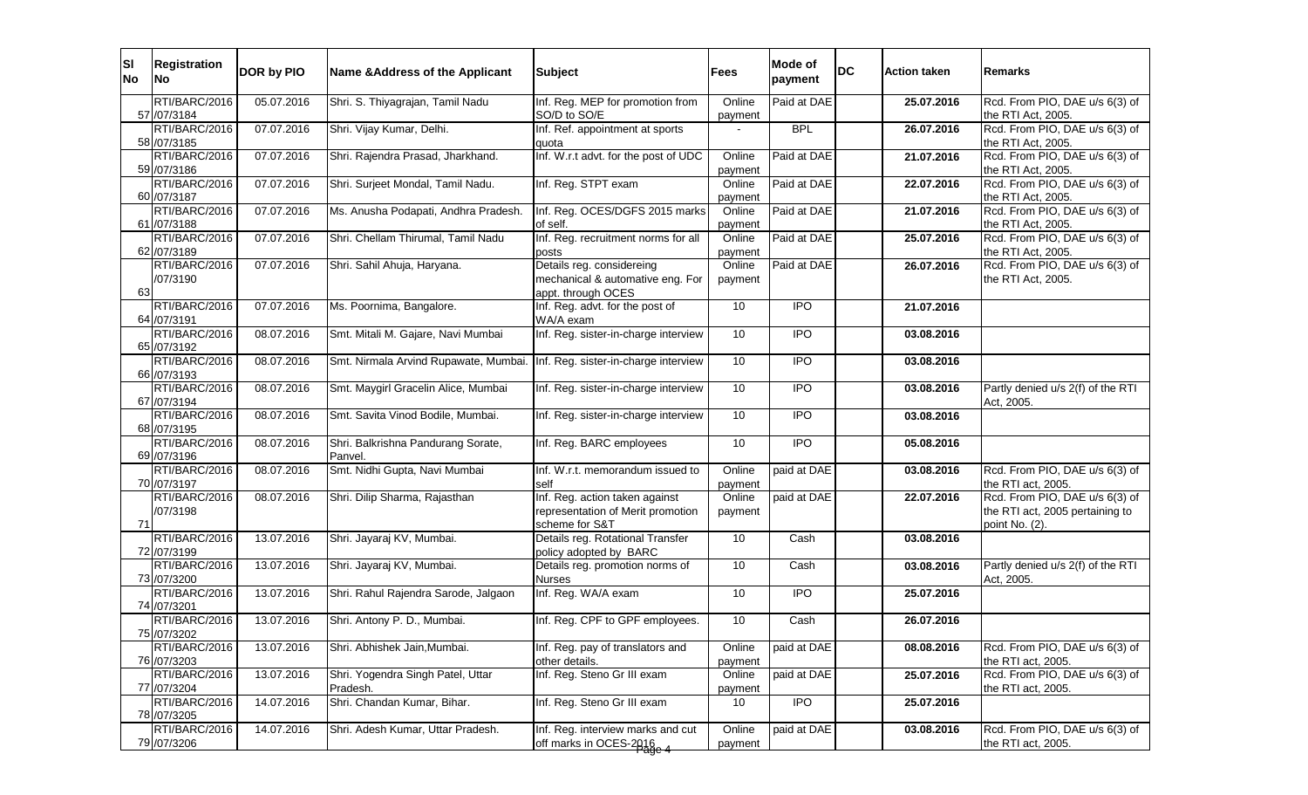| SI<br><b>No</b> | <b>Registration</b><br><b>No</b> | <b>DOR by PIO</b> | Name & Address of the Applicant       | <b>Subject</b>                                             | <b>Fees</b>       | Mode of<br>payment | <b>DC</b> | <b>Action taken</b> | <b>Remarks</b>                                       |
|-----------------|----------------------------------|-------------------|---------------------------------------|------------------------------------------------------------|-------------------|--------------------|-----------|---------------------|------------------------------------------------------|
|                 | RTI/BARC/2016<br>57 / 07/3184    | 05.07.2016        | Shri. S. Thiyagrajan, Tamil Nadu      | Inf. Reg. MEP for promotion from<br>SO/D to SO/E           | Online<br>payment | Paid at DAE        |           | 25.07.2016          | Rcd. From PIO, DAE u/s 6(3) of<br>the RTI Act, 2005. |
|                 | RTI/BARC/2016                    | 07.07.2016        | Shri. Vijay Kumar, Delhi.             | Inf. Ref. appointment at sports                            |                   | <b>BPL</b>         |           | 26.07.2016          | Rcd. From PIO, DAE u/s 6(3) of                       |
|                 | 58 /07/3185                      |                   |                                       | quota                                                      |                   |                    |           |                     | the RTI Act, 2005.                                   |
|                 | RTI/BARC/2016                    | 07.07.2016        | Shri. Rajendra Prasad, Jharkhand.     | Inf. W.r.t advt. for the post of UDC                       | Online            | Paid at DAE        |           | 21.07.2016          | Rcd. From PIO, DAE u/s 6(3) of                       |
|                 | 59 /07/3186<br>RTI/BARC/2016     | 07.07.2016        | Shri. Surjeet Mondal, Tamil Nadu.     | Inf. Reg. STPT exam                                        | payment<br>Online | Paid at DAE        |           | 22.07.2016          | the RTI Act, 2005.<br>Rcd. From PIO, DAE u/s 6(3) of |
|                 | 60 / 07/3187                     |                   |                                       |                                                            | payment           |                    |           |                     | the RTI Act, 2005.                                   |
|                 | RTI/BARC/2016                    | 07.07.2016        | Ms. Anusha Podapati, Andhra Pradesh.  | Inf. Reg. OCES/DGFS 2015 marks                             | Online            | Paid at DAE        |           | 21.07.2016          | Rcd. From PIO, DAE u/s 6(3) of                       |
|                 | 61 /07/3188                      |                   |                                       | of self.                                                   | payment           |                    |           |                     | the RTI Act, 2005.                                   |
|                 | RTI/BARC/2016                    | 07.07.2016        | Shri. Chellam Thirumal, Tamil Nadu    | Inf. Reg. recruitment norms for all                        | Online            | Paid at DAE        |           | 25.07.2016          | Rcd. From PIO, DAE u/s 6(3) of                       |
|                 | 62 /07/3189<br>RTI/BARC/2016     | 07.07.2016        | Shri. Sahil Ahuja, Haryana.           | posts<br>Details reg. considereing                         | payment<br>Online | Paid at DAE        |           |                     | the RTI Act, 2005.<br>Rcd. From PIO, DAE u/s 6(3) of |
|                 | /07/3190                         |                   |                                       | mechanical & automative eng. For                           | payment           |                    |           | 26.07.2016          | the RTI Act, 2005.                                   |
| 63              |                                  |                   |                                       | appt. through OCES                                         |                   |                    |           |                     |                                                      |
|                 | RTI/BARC/2016<br>64 /07/3191     | 07.07.2016        | Ms. Poornima, Bangalore.              | Inf. Reg. advt. for the post of<br>WA/A exam               | 10                | $\overline{1}$     |           | 21.07.2016          |                                                      |
|                 | RTI/BARC/2016                    | 08.07.2016        | Smt. Mitali M. Gajare, Navi Mumbai    | Inf. Reg. sister-in-charge interview                       | 10                | <b>IPO</b>         |           | 03.08.2016          |                                                      |
|                 | 65 / 07/3192<br>RTI/BARC/2016    | 08.07.2016        | Smt. Nirmala Arvind Rupawate, Mumbai. | Inf. Reg. sister-in-charge interview                       | 10                | $\overline{1}$     |           | 03.08.2016          |                                                      |
|                 | 66 / 07/3193                     |                   |                                       |                                                            |                   |                    |           |                     |                                                      |
|                 | RTI/BARC/2016                    | 08.07.2016        | Smt. Maygirl Gracelin Alice, Mumbai   | Inf. Reg. sister-in-charge interview                       | 10                | <b>IPO</b>         |           | 03.08.2016          | Partly denied u/s 2(f) of the RTI                    |
|                 | 67 / 07/3194                     |                   |                                       |                                                            |                   |                    |           |                     | Act, 2005.                                           |
|                 | RTI/BARC/2016<br>68 / 07/3195    | 08.07.2016        | Smt. Savita Vinod Bodile, Mumbai.     | Inf. Reg. sister-in-charge interview                       | 10                | <b>IPO</b>         |           | 03.08.2016          |                                                      |
|                 | RTI/BARC/2016                    | 08.07.2016        | Shri. Balkrishna Pandurang Sorate,    | Inf. Reg. BARC employees                                   | 10                | <b>IPO</b>         |           | 05.08.2016          |                                                      |
|                 | 69 / 07/3196                     |                   | Panvel.                               |                                                            |                   |                    |           |                     |                                                      |
|                 | RTI/BARC/2016<br>70 / 07/3197    | 08.07.2016        | Smt. Nidhi Gupta, Navi Mumbai         | Inf. W.r.t. memorandum issued to<br>self                   | Online<br>payment | paid at DAE        |           | 03.08.2016          | Rcd. From PIO, DAE u/s 6(3) of<br>the RTI act, 2005. |
|                 | RTI/BARC/2016                    | 08.07.2016        | Shri. Dilip Sharma, Rajasthan         | Inf. Reg. action taken against                             | Online            | paid at DAE        |           | 22.07.2016          | Rcd. From PIO, DAE u/s 6(3) of                       |
|                 | /07/3198                         |                   |                                       | representation of Merit promotion                          | payment           |                    |           |                     | the RTI act, 2005 pertaining to                      |
| 71              |                                  |                   |                                       | scheme for S&T                                             |                   |                    |           |                     | point No. (2).                                       |
|                 | RTI/BARC/2016<br>72 /07/3199     | 13.07.2016        | Shri. Jayaraj KV, Mumbai.             | Details reg. Rotational Transfer<br>policy adopted by BARC | 10                | Cash               |           | 03.08.2016          |                                                      |
|                 | RTI/BARC/2016<br>73 /07/3200     | 13.07.2016        | Shri. Jayaraj KV, Mumbai.             | Details reg. promotion norms of<br><b>Nurses</b>           | 10                | Cash               |           | 03.08.2016          | Partly denied u/s 2(f) of the RTI<br>Act, 2005.      |
|                 | RTI/BARC/2016                    | 13.07.2016        | Shri. Rahul Rajendra Sarode, Jalgaon  | Inf. Reg. WA/A exam                                        | 10                | $\overline{1}$     |           | 25.07.2016          |                                                      |
|                 | 74 /07/3201                      |                   |                                       |                                                            |                   |                    |           |                     |                                                      |
|                 | RTI/BARC/2016                    | 13.07.2016        | Shri. Antony P. D., Mumbai.           | Inf. Reg. CPF to GPF employees.                            | 10                | Cash               |           | 26.07.2016          |                                                      |
|                 | /5 / 07/3202                     |                   |                                       |                                                            |                   |                    |           |                     |                                                      |
|                 | RTI/BARC/2016<br>76 / 07/3203    | 13.07.2016        | Shri. Abhishek Jain, Mumbai.          | Inf. Reg. pay of translators and<br>other details.         | Online<br>payment | paid at DAE        |           | 08.08.2016          | Rcd. From PIO, DAE u/s 6(3) of<br>the RTI act, 2005. |
|                 | RTI/BARC/2016                    | 13.07.2016        | Shri. Yogendra Singh Patel, Uttar     | Inf. Reg. Steno Gr III exam                                | Online            | paid at DAE        |           | 25.07.2016          | Rcd. From PIO, DAE u/s 6(3) of                       |
|                 | 77 /07/3204                      |                   | Pradesh.                              |                                                            | payment           |                    |           |                     | the RTI act, 2005.                                   |
|                 | RTI/BARC/2016<br>78 / 07/3205    | 14.07.2016        | Shri. Chandan Kumar, Bihar.           | Inf. Reg. Steno Gr III exam                                | 10                | $\overline{1}$     |           | 25.07.2016          |                                                      |
|                 | RTI/BARC/2016                    | 14.07.2016        | Shri. Adesh Kumar, Uttar Pradesh.     | Inf. Reg. interview marks and cut                          | Online            | paid at DAE        |           | 03.08.2016          | Rcd. From PIO, DAE u/s 6(3) of                       |
|                 | 79 /07/3206                      |                   |                                       | off marks in OCES-2016                                     | payment           |                    |           |                     | the RTI act, 2005.                                   |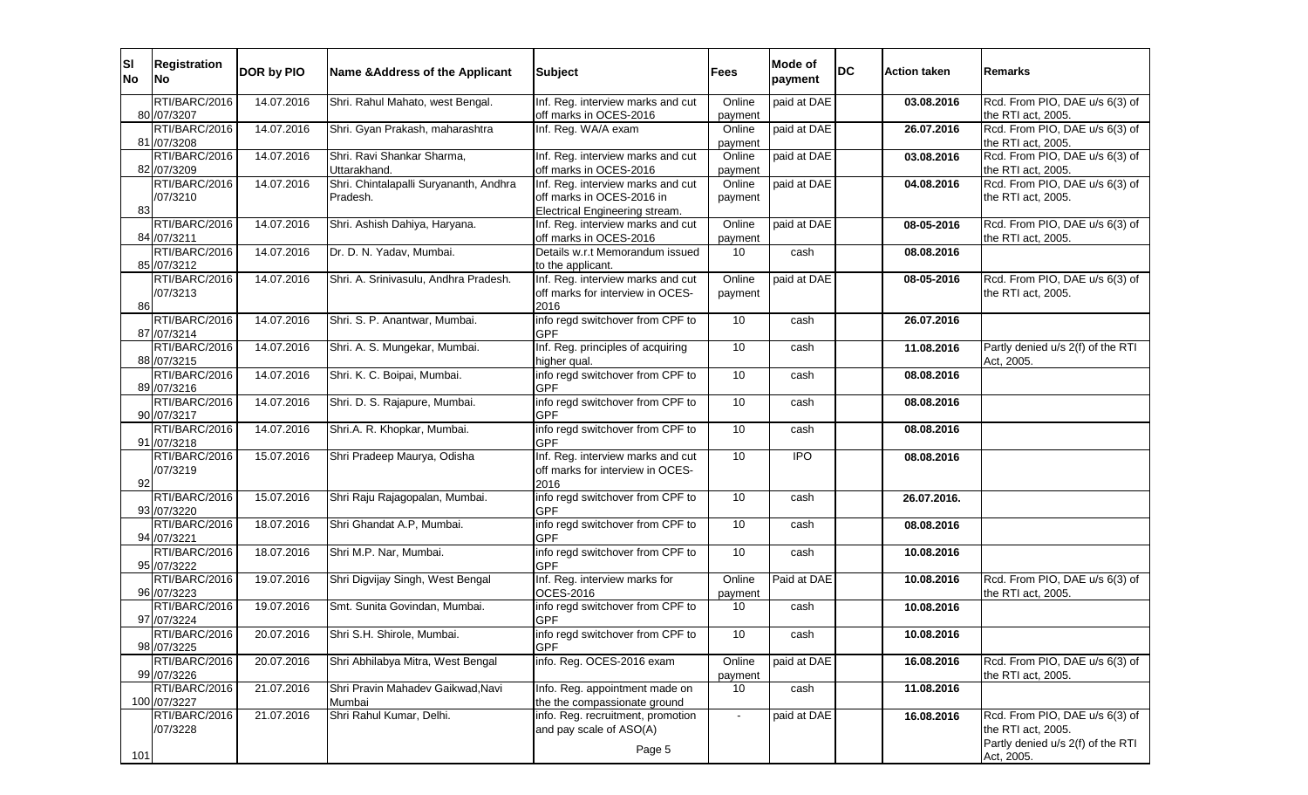| <b>SI</b><br><b>No</b> | <b>Registration</b><br><b>INo</b> | DOR by PIO | Name & Address of the Applicant        | <b>Subject</b>                                               | <b>Fees</b>       | Mode of<br>payment | <b>DC</b> | <b>Action taken</b> | Remarks                                              |
|------------------------|-----------------------------------|------------|----------------------------------------|--------------------------------------------------------------|-------------------|--------------------|-----------|---------------------|------------------------------------------------------|
|                        | RTI/BARC/2016                     | 14.07.2016 | Shri. Rahul Mahato, west Bengal.       | Inf. Reg. interview marks and cut                            | Online            | paid at DAE        |           | 03.08.2016          | Rcd. From PIO, DAE u/s 6(3) of                       |
|                        | 80 / 07/3207                      |            |                                        | off marks in OCES-2016                                       | payment           |                    |           |                     | the RTI act, 2005.                                   |
|                        | RTI/BARC/2016                     | 14.07.2016 | Shri. Gyan Prakash, maharashtra        | Inf. Reg. WA/A exam                                          | Online            | paid at DAE        |           | 26.07.2016          | Rcd. From PIO, DAE u/s 6(3) of                       |
|                        | 81 /07/3208<br>RTI/BARC/2016      | 14.07.2016 | Shri. Ravi Shankar Sharma,             | Inf. Reg. interview marks and cut                            | payment<br>Online | paid at DAE        |           |                     | the RTI act, 2005.<br>Rcd. From PIO, DAE u/s 6(3) of |
|                        | 82 /07/3209                       |            | Uttarakhand.                           | off marks in OCES-2016                                       | payment           |                    |           | 03.08.2016          | the RTI act, 2005.                                   |
|                        | RTI/BARC/2016                     | 14.07.2016 | Shri. Chintalapalli Suryananth, Andhra | Inf. Reg. interview marks and cut                            | Online            | paid at DAE        |           | 04.08.2016          | Rcd. From PIO, DAE u/s 6(3) of                       |
|                        | /07/3210                          |            | Pradesh.                               | off marks in OCES-2016 in                                    | payment           |                    |           |                     | the RTI act, 2005.                                   |
| 83                     |                                   |            |                                        | Electrical Engineering stream.                               |                   |                    |           |                     |                                                      |
|                        | RTI/BARC/2016                     | 14.07.2016 | Shri. Ashish Dahiya, Haryana.          | Inf. Reg. interview marks and cut                            | Online            | paid at DAE        |           | 08-05-2016          | Rcd. From PIO, DAE u/s 6(3) of                       |
|                        | 84 / 07/3211                      |            |                                        | off marks in OCES-2016                                       | payment           |                    |           |                     | the RTI act, 2005.                                   |
|                        | RTI/BARC/2016                     | 14.07.2016 | Dr. D. N. Yadav, Mumbai.               | Details w.r.t Memorandum issued                              | 10                | cash               |           | 08.08.2016          |                                                      |
|                        | 85 / 07/3212<br>RTI/BARC/2016     | 14.07.2016 | Shri. A. Srinivasulu, Andhra Pradesh.  | to the applicant.<br>Inf. Reg. interview marks and cut       | Online            | paid at DAE        |           | 08-05-2016          | Rcd. From PIO, DAE u/s 6(3) of                       |
|                        | /07/3213                          |            |                                        | off marks for interview in OCES-                             | payment           |                    |           |                     | the RTI act, 2005.                                   |
| 86                     |                                   |            |                                        | 2016                                                         |                   |                    |           |                     |                                                      |
|                        | RTI/BARC/2016                     | 14.07.2016 | Shri. S. P. Anantwar, Mumbai.          | info regd switchover from CPF to                             | 10                | cash               |           | 26.07.2016          |                                                      |
|                        | 87 / 07/3214                      |            |                                        | <b>GPF</b>                                                   |                   |                    |           |                     |                                                      |
|                        | RTI/BARC/2016                     | 14.07.2016 | Shri. A. S. Mungekar, Mumbai.          | Inf. Reg. principles of acquiring                            | 10                | cash               |           | 11.08.2016          | Partly denied u/s 2(f) of the RTI                    |
|                        | 88 / 07/3215<br>RTI/BARC/2016     | 14.07.2016 |                                        | higher qual.                                                 | 10                |                    |           | 08.08.2016          | Act, 2005.                                           |
|                        | 89 / 07/3216                      |            | Shri. K. C. Boipai, Mumbai.            | info regd switchover from CPF to<br><b>GPF</b>               |                   | cash               |           |                     |                                                      |
|                        | RTI/BARC/2016                     | 14.07.2016 | Shri. D. S. Rajapure, Mumbai.          | info regd switchover from CPF to                             | 10                | cash               |           | 08.08.2016          |                                                      |
|                        | 90 / 07/3217                      |            |                                        | <b>GPF</b>                                                   |                   |                    |           |                     |                                                      |
|                        | RTI/BARC/2016<br>91 /07/3218      | 14.07.2016 | Shri.A. R. Khopkar, Mumbai.            | info regd switchover from CPF to<br><b>GPF</b>               | 10                | cash               |           | 08.08.2016          |                                                      |
|                        | RTI/BARC/2016                     | 15.07.2016 | Shri Pradeep Maurya, Odisha            | Inf. Reg. interview marks and cut                            | 10                | <b>IPO</b>         |           | 08.08.2016          |                                                      |
|                        | /07/3219                          |            |                                        | off marks for interview in OCES-                             |                   |                    |           |                     |                                                      |
| 92                     | RTI/BARC/2016                     | 15.07.2016 |                                        | 2016<br>info regd switchover from CPF to                     | 10                |                    |           |                     |                                                      |
|                        | 93 /07/3220                       |            | Shri Raju Rajagopalan, Mumbai.         | <b>GPF</b>                                                   |                   | cash               |           | 26.07.2016.         |                                                      |
|                        | RTI/BARC/2016                     | 18.07.2016 | Shri Ghandat A.P, Mumbai.              | info regd switchover from CPF to                             | 10 <sup>°</sup>   | cash               |           | 08.08.2016          |                                                      |
|                        | 94 / 07/3221                      |            |                                        | <b>GPF</b>                                                   |                   |                    |           |                     |                                                      |
|                        | RTI/BARC/2016                     | 18.07.2016 | Shri M.P. Nar, Mumbai.                 | info regd switchover from CPF to                             | 10                | cash               |           | 10.08.2016          |                                                      |
|                        | 95 /07/3222                       |            |                                        | <b>GPF</b>                                                   |                   |                    |           |                     |                                                      |
|                        | RTI/BARC/2016<br>96 / 07/3223     | 19.07.2016 | Shri Digvijay Singh, West Bengal       | Inf. Reg. interview marks for<br>OCES-2016                   | Online            | Paid at DAE        |           | 10.08.2016          | Rcd. From PIO, DAE u/s 6(3) of<br>the RTI act, 2005. |
|                        | RTI/BARC/2016                     | 19.07.2016 | Smt. Sunita Govindan, Mumbai.          | info regd switchover from CPF to                             | payment<br>10     | cash               |           | 10.08.2016          |                                                      |
|                        | 97 / 07/3224                      |            |                                        | <b>GPF</b>                                                   |                   |                    |           |                     |                                                      |
|                        | RTI/BARC/2016                     | 20.07.2016 | Shri S.H. Shirole, Mumbai.             | info regd switchover from CPF to                             | 10                | cash               |           | 10.08.2016          |                                                      |
|                        | 98 / 07/3225                      |            |                                        | <b>GPF</b>                                                   |                   |                    |           |                     |                                                      |
|                        | RTI/BARC/2016<br>99 / 07/3226     | 20.07.2016 | Shri Abhilabya Mitra, West Bengal      | info. Reg. OCES-2016 exam                                    | Online<br>payment | paid at DAE        |           | 16.08.2016          | Rcd. From PIO, DAE u/s 6(3) of<br>the RTI act, 2005. |
|                        | RTI/BARC/2016                     | 21.07.2016 | Shri Pravin Mahadev Gaikwad, Navi      | Info. Reg. appointment made on                               | 10                | cash               |           | 11.08.2016          |                                                      |
|                        | 100 /07/3227                      |            | Mumbai                                 | the the compassionate ground                                 |                   |                    |           |                     |                                                      |
|                        | RTI/BARC/2016<br>/07/3228         | 21.07.2016 | Shri Rahul Kumar, Delhi.               | info. Reg. recruitment, promotion<br>and pay scale of ASO(A) | $\sim$            | paid at DAE        |           | 16.08.2016          | Rcd. From PIO, DAE u/s 6(3) of<br>the RTI act, 2005. |
| 101                    |                                   |            |                                        | Page 5                                                       |                   |                    |           |                     | Partly denied u/s 2(f) of the RTI<br>Act, 2005.      |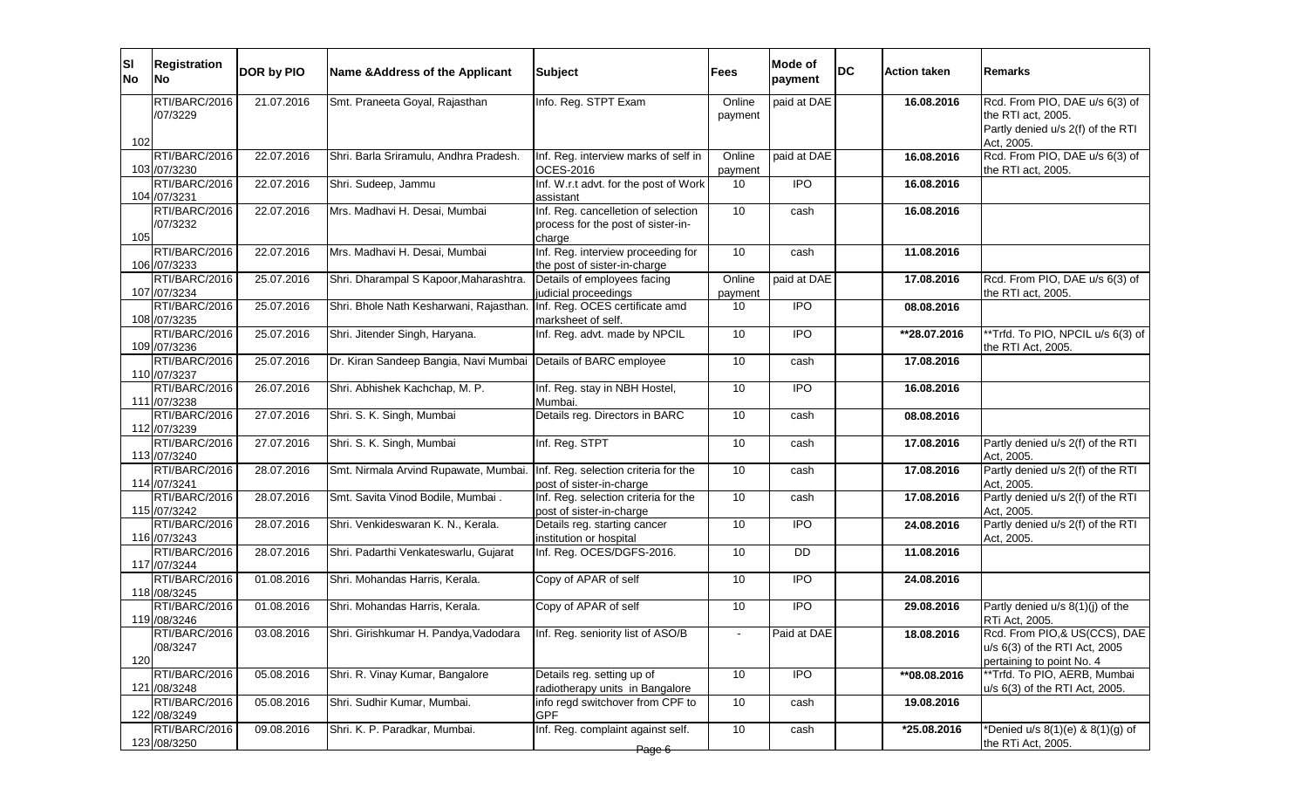| ΙSΙ<br><b>No</b> | <b>Registration</b><br>No      | DOR by PIO | Name & Address of the Applicant                                | <b>Subject</b>                                                                      | Fees              | Mode of<br>payment | <b>DC</b> | <b>Action taken</b> | Remarks                                                                                                 |
|------------------|--------------------------------|------------|----------------------------------------------------------------|-------------------------------------------------------------------------------------|-------------------|--------------------|-----------|---------------------|---------------------------------------------------------------------------------------------------------|
| 102              | RTI/BARC/2016<br>/07/3229      | 21.07.2016 | Smt. Praneeta Goyal, Rajasthan                                 | Info. Reg. STPT Exam                                                                | Online<br>payment | paid at DAE        |           | 16.08.2016          | Rcd. From PIO, DAE u/s 6(3) of<br>the RTI act, 2005.<br>Partly denied u/s 2(f) of the RTI<br>Act, 2005. |
|                  | RTI/BARC/2016<br>103 /07/3230  | 22.07.2016 | Shri. Barla Sriramulu, Andhra Pradesh.                         | Inf. Reg. interview marks of self in<br><b>OCES-2016</b>                            | Online<br>payment | paid at DAE        |           | 16.08.2016          | Rcd. From PIO, DAE u/s 6(3) of<br>the RTI act, 2005.                                                    |
|                  | RTI/BARC/2016<br>104 /07/3231  | 22.07.2016 | Shri. Sudeep, Jammu                                            | Inf. W.r.t advt. for the post of Work<br>assistant                                  | 10                | $\overline{1}$     |           | 16.08.2016          |                                                                                                         |
| 105              | RTI/BARC/2016<br>/07/3232      | 22.07.2016 | Mrs. Madhavi H. Desai, Mumbai                                  | Inf. Reg. cancelletion of selection<br>process for the post of sister-in-<br>charge | 10                | cash               |           | 16.08.2016          |                                                                                                         |
|                  | RTI/BARC/2016<br>106 /07/3233  | 22.07.2016 | Mrs. Madhavi H. Desai, Mumbai                                  | Inf. Reg. interview proceeding for<br>the post of sister-in-charge                  | 10                | cash               |           | 11.08.2016          |                                                                                                         |
|                  | RTI/BARC/2016<br>107 /07/3234  | 25.07.2016 | Shri. Dharampal S Kapoor, Maharashtra.                         | Details of employees facing<br>judicial proceedings                                 | Online<br>payment | paid at DAE        |           | 17.08.2016          | Rcd. From PIO, DAE u/s 6(3) of<br>the RTI act, 2005.                                                    |
|                  | RTI/BARC/2016<br>108 /07/3235  | 25.07.2016 | Shri. Bhole Nath Kesharwani, Rajasthan.                        | Inf. Reg. OCES certificate amd<br>marksheet of self.                                | 10                | <b>IPO</b>         |           | 08.08.2016          |                                                                                                         |
|                  | RTI/BARC/2016<br>109 /07/3236  | 25.07.2016 | Shri. Jitender Singh, Haryana.                                 | Inf. Reg. advt. made by NPCIL                                                       | 10                | <b>IPO</b>         |           | **28.07.2016        | **Trfd. To PIO, NPCIL u/s 6(3) of<br>the RTI Act, 2005.                                                 |
|                  | RTI/BARC/2016<br>110 /07/3237  | 25.07.2016 | Dr. Kiran Sandeep Bangia, Navi Mumbai Details of BARC employee |                                                                                     | 10                | cash               |           | 17.08.2016          |                                                                                                         |
|                  | RTI/BARC/2016<br>111 /07/3238  | 26.07.2016 | Shri. Abhishek Kachchap, M. P.                                 | Inf. Reg. stay in NBH Hostel,<br>Mumbai.                                            | 10                | <b>IPO</b>         |           | 16.08.2016          |                                                                                                         |
|                  | RTI/BARC/2016<br>112 /07/3239  | 27.07.2016 | Shri. S. K. Singh, Mumbai                                      | Details reg. Directors in BARC                                                      | 10                | cash               |           | 08.08.2016          |                                                                                                         |
|                  | RTI/BARC/2016<br>113 /07/3240  | 27.07.2016 | Shri. S. K. Singh, Mumbai                                      | Inf. Reg. STPT                                                                      | 10                | cash               |           | 17.08.2016          | Partly denied u/s 2(f) of the RTI<br>Act, 2005.                                                         |
|                  | RTI/BARC/2016<br>114 /07/3241  | 28.07.2016 | Smt. Nirmala Arvind Rupawate, Mumbai.                          | Inf. Reg. selection criteria for the<br>post of sister-in-charge                    | 10                | cash               |           | 17.08.2016          | Partly denied u/s 2(f) of the RTI<br>Act, 2005.                                                         |
|                  | RTI/BARC/2016<br>115 /07/3242  | 28.07.2016 | Smt. Savita Vinod Bodile, Mumbai.                              | Inf. Reg. selection criteria for the<br>post of sister-in-charge                    | 10                | cash               |           | 17.08.2016          | Partly denied u/s 2(f) of the RTI<br>Act, 2005.                                                         |
|                  | RTI/BARC/2016<br>116 /07/3243  | 28.07.2016 | Shri. Venkideswaran K. N., Kerala.                             | Details reg. starting cancer<br>institution or hospital                             | 10                | $\overline{IPO}$   |           | 24.08.2016          | Partly denied u/s 2(f) of the RTI<br>Act, 2005.                                                         |
|                  | RTI/BARC/2016<br>117 /07/3244  | 28.07.2016 | Shri. Padarthi Venkateswarlu, Gujarat                          | Inf. Reg. OCES/DGFS-2016.                                                           | 10                | DD                 |           | 11.08.2016          |                                                                                                         |
|                  | RTI/BARC/2016<br>118 /08/3245  | 01.08.2016 | Shri. Mohandas Harris, Kerala.                                 | Copy of APAR of self                                                                | 10                | $\overline{IPO}$   |           | 24.08.2016          |                                                                                                         |
|                  | RTI/BARC/2016<br>119 / 08/3246 | 01.08.2016 | Shri. Mohandas Harris, Kerala.                                 | Copy of APAR of self                                                                | 10                | $\overline{IPO}$   |           | 29.08.2016          | Partly denied u/s 8(1)(j) of the<br>RTi Act, 2005.                                                      |
| 120              | RTI/BARC/2016<br>/08/3247      | 03.08.2016 | Shri. Girishkumar H. Pandya, Vadodara                          | Inf. Reg. seniority list of ASO/B                                                   |                   | Paid at DAE        |           | 18.08.2016          | Rcd. From PIO,& US(CCS), DAE<br>u/s 6(3) of the RTI Act, 2005<br>pertaining to point No. 4              |
|                  | RTI/BARC/2016<br>121 /08/3248  | 05.08.2016 | Shri. R. Vinay Kumar, Bangalore                                | Details reg. setting up of<br>radiotherapy units in Bangalore                       | 10                | $\overline{1}$     |           | **08.08.2016        | **Trfd. To PIO, AERB, Mumbai<br>u/s 6(3) of the RTI Act, 2005.                                          |
|                  | RTI/BARC/2016<br>122 /08/3249  | 05.08.2016 | Shri. Sudhir Kumar, Mumbai.                                    | info regd switchover from CPF to<br><b>GPF</b>                                      | 10                | cash               |           | 19.08.2016          |                                                                                                         |
|                  | RTI/BARC/2016<br>123 / 08/3250 | 09.08.2016 | Shri. K. P. Paradkar, Mumbai.                                  | Inf. Reg. complaint against self.<br>Page 6                                         | 10                | cash               |           | *25.08.2016         | *Denied u/s 8(1)(e) & 8(1)(g) of<br>the RTi Act, 2005.                                                  |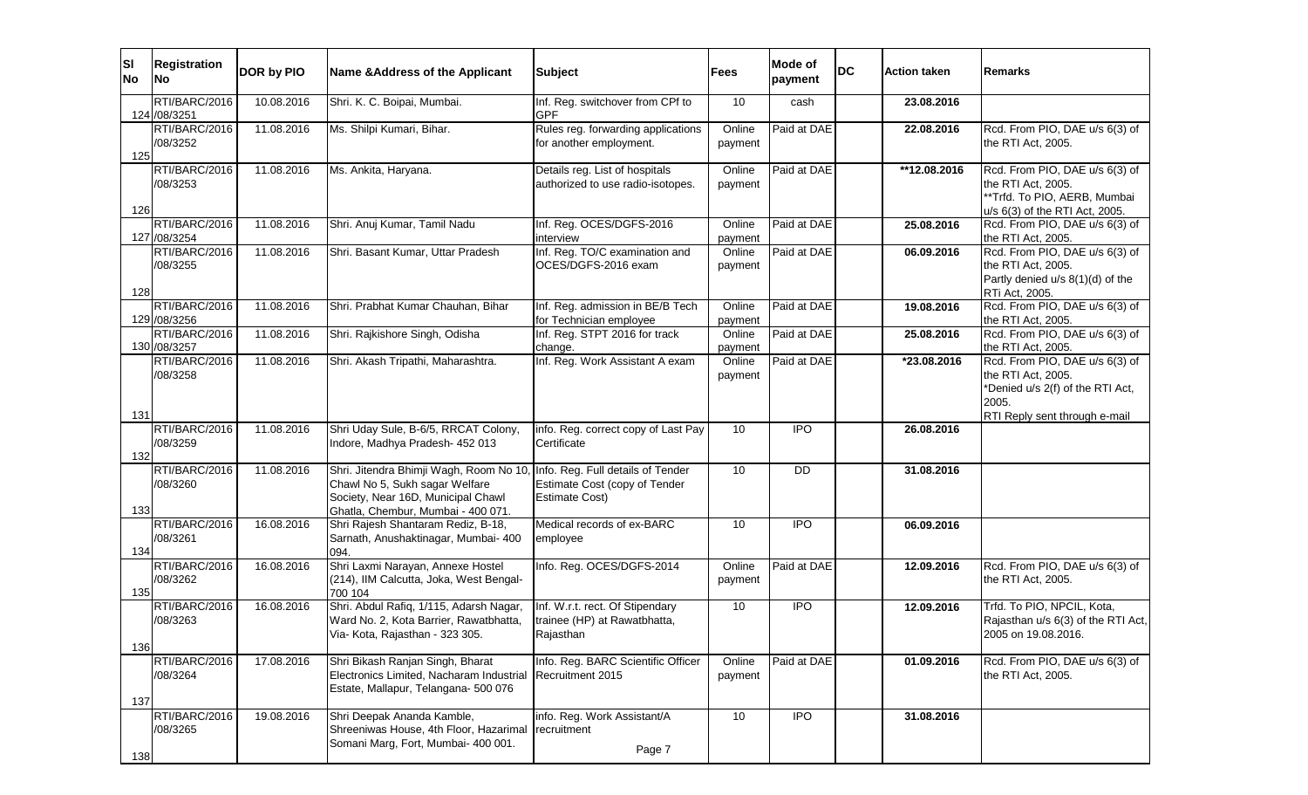| ΙSΙ<br><b>No</b> | <b>Registration</b><br>No      | DOR by PIO | Name & Address of the Applicant                                                                                                                                                         | <b>Subject</b>                                                               | Fees              | Mode of<br>payment | <b>DC</b> | <b>Action taken</b> | Remarks                                                                                                    |
|------------------|--------------------------------|------------|-----------------------------------------------------------------------------------------------------------------------------------------------------------------------------------------|------------------------------------------------------------------------------|-------------------|--------------------|-----------|---------------------|------------------------------------------------------------------------------------------------------------|
|                  | RTI/BARC/2016<br>124 / 08/3251 | 10.08.2016 | Shri. K. C. Boipai, Mumbai.                                                                                                                                                             | Inf. Reg. switchover from CPf to<br><b>GPF</b>                               | 10                | cash               |           | 23.08.2016          |                                                                                                            |
| 125              | RTI/BARC/2016<br>/08/3252      | 11.08.2016 | Ms. Shilpi Kumari, Bihar.                                                                                                                                                               | Rules reg. forwarding applications<br>for another employment.                | Online<br>payment | Paid at DAE        |           | 22.08.2016          | Rcd. From PIO, DAE u/s 6(3) of<br>the RTI Act, 2005.                                                       |
|                  | RTI/BARC/2016<br>/08/3253      | 11.08.2016 | Ms. Ankita, Haryana.                                                                                                                                                                    | Details reg. List of hospitals<br>authorized to use radio-isotopes.          | Online<br>payment | Paid at DAE        |           | $*12.08.2016$       | Rcd. From PIO, DAE u/s 6(3) of<br>the RTI Act, 2005.<br>**Trfd. To PIO, AERB, Mumbai                       |
| 126              | RTI/BARC/2016<br>127 /08/3254  | 11.08.2016 | Shri. Anuj Kumar, Tamil Nadu                                                                                                                                                            | Inf. Reg. OCES/DGFS-2016<br>interview                                        | Online<br>payment | Paid at DAE        |           | 25.08.2016          | u/s 6(3) of the RTI Act, 2005.<br>Rcd. From PIO, DAE u/s 6(3) of<br>the RTI Act, 2005.                     |
| 128              | RTI/BARC/2016<br>/08/3255      | 11.08.2016 | Shri. Basant Kumar, Uttar Pradesh                                                                                                                                                       | Inf. Reg. TO/C examination and<br>OCES/DGFS-2016 exam                        | Online<br>payment | Paid at DAE        |           | 06.09.2016          | Rcd. From PIO, DAE u/s 6(3) of<br>the RTI Act, 2005.<br>Partly denied u/s 8(1)(d) of the<br>RTi Act, 2005. |
|                  | RTI/BARC/2016<br>129 / 08/3256 | 11.08.2016 | Shri. Prabhat Kumar Chauhan, Bihar                                                                                                                                                      | Inf. Reg. admission in BE/B Tech<br>for Technician employee                  | Online<br>payment | Paid at DAE        |           | 19.08.2016          | Rcd. From PIO, DAE u/s 6(3) of<br>the RTI Act, 2005.                                                       |
|                  | RTI/BARC/2016<br>130 / 08/3257 | 11.08.2016 | Shri. Rajkishore Singh, Odisha                                                                                                                                                          | Inf. Reg. STPT 2016 for track<br>change.                                     | Online<br>payment | Paid at DAE        |           | 25.08.2016          | Rcd. From PIO, DAE u/s 6(3) of<br>the RTI Act, 2005.                                                       |
|                  | RTI/BARC/2016<br>/08/3258      | 11.08.2016 | Shri. Akash Tripathi, Maharashtra.                                                                                                                                                      | Inf. Reg. Work Assistant A exam                                              | Online<br>payment | Paid at DAE        |           | *23.08.2016         | Rcd. From PIO, DAE u/s 6(3) of<br>the RTI Act, 2005.<br>*Denied u/s 2(f) of the RTI Act,<br>2005.          |
| 131<br>132       | RTI/BARC/2016<br>/08/3259      | 11.08.2016 | Shri Uday Sule, B-6/5, RRCAT Colony,<br>Indore, Madhya Pradesh- 452 013                                                                                                                 | info. Reg. correct copy of Last Pay<br>Certificate                           | 10                | <b>IPO</b>         |           | 26.08.2016          | RTI Reply sent through e-mail                                                                              |
| 133              | RTI/BARC/2016<br>/08/3260      | 11.08.2016 | Shri. Jitendra Bhimji Wagh, Room No 10, Info. Reg. Full details of Tender<br>Chawl No 5, Sukh sagar Welfare<br>Society, Near 16D, Municipal Chawl<br>Ghatla, Chembur, Mumbai - 400 071. | Estimate Cost (copy of Tender<br><b>Estimate Cost)</b>                       | 10                | <b>DD</b>          |           | 31.08.2016          |                                                                                                            |
| 134              | RTI/BARC/2016<br>/08/3261      | 16.08.2016 | Shri Rajesh Shantaram Rediz, B-18,<br>Sarnath, Anushaktinagar, Mumbai- 400<br>094.                                                                                                      | Medical records of ex-BARC<br>employee                                       | 10                | $\overline{IPO}$   |           | 06.09.2016          |                                                                                                            |
| 135              | RTI/BARC/2016<br>/08/3262      | 16.08.2016 | Shri Laxmi Narayan, Annexe Hostel<br>(214), IIM Calcutta, Joka, West Bengal-<br>700 104                                                                                                 | Info. Reg. OCES/DGFS-2014                                                    | Online<br>payment | Paid at DAE        |           | 12.09.2016          | Rcd. From PIO, DAE u/s 6(3) of<br>the RTI Act, 2005.                                                       |
| 136              | RTI/BARC/2016<br>/08/3263      | 16.08.2016 | Shri. Abdul Rafiq, 1/115, Adarsh Nagar,<br>Ward No. 2, Kota Barrier, Rawatbhatta,<br>Via- Kota, Rajasthan - 323 305.                                                                    | Inf. W.r.t. rect. Of Stipendary<br>trainee (HP) at Rawatbhatta,<br>Rajasthan | 10                | <b>IPO</b>         |           | 12.09.2016          | Trfd. To PIO, NPCIL, Kota,<br>Rajasthan u/s 6(3) of the RTI Act,<br>2005 on 19.08.2016.                    |
| 137              | RTI/BARC/2016<br>/08/3264      | 17.08.2016 | Shri Bikash Ranjan Singh, Bharat<br>Electronics Limited, Nacharam Industrial<br>Estate, Mallapur, Telangana- 500 076                                                                    | Info. Reg. BARC Scientific Officer<br>Recruitment 2015                       | Online<br>payment | Paid at DAE        |           | 01.09.2016          | Rcd. From PIO, DAE u/s 6(3) of<br>the RTI Act, 2005.                                                       |
| 138              | RTI/BARC/2016<br>/08/3265      | 19.08.2016 | Shri Deepak Ananda Kamble,<br>Shreeniwas House, 4th Floor, Hazarimal<br>Somani Marg, Fort, Mumbai- 400 001.                                                                             | info. Reg. Work Assistant/A<br>recruitment<br>Page 7                         | 10                | <b>IPO</b>         |           | 31.08.2016          |                                                                                                            |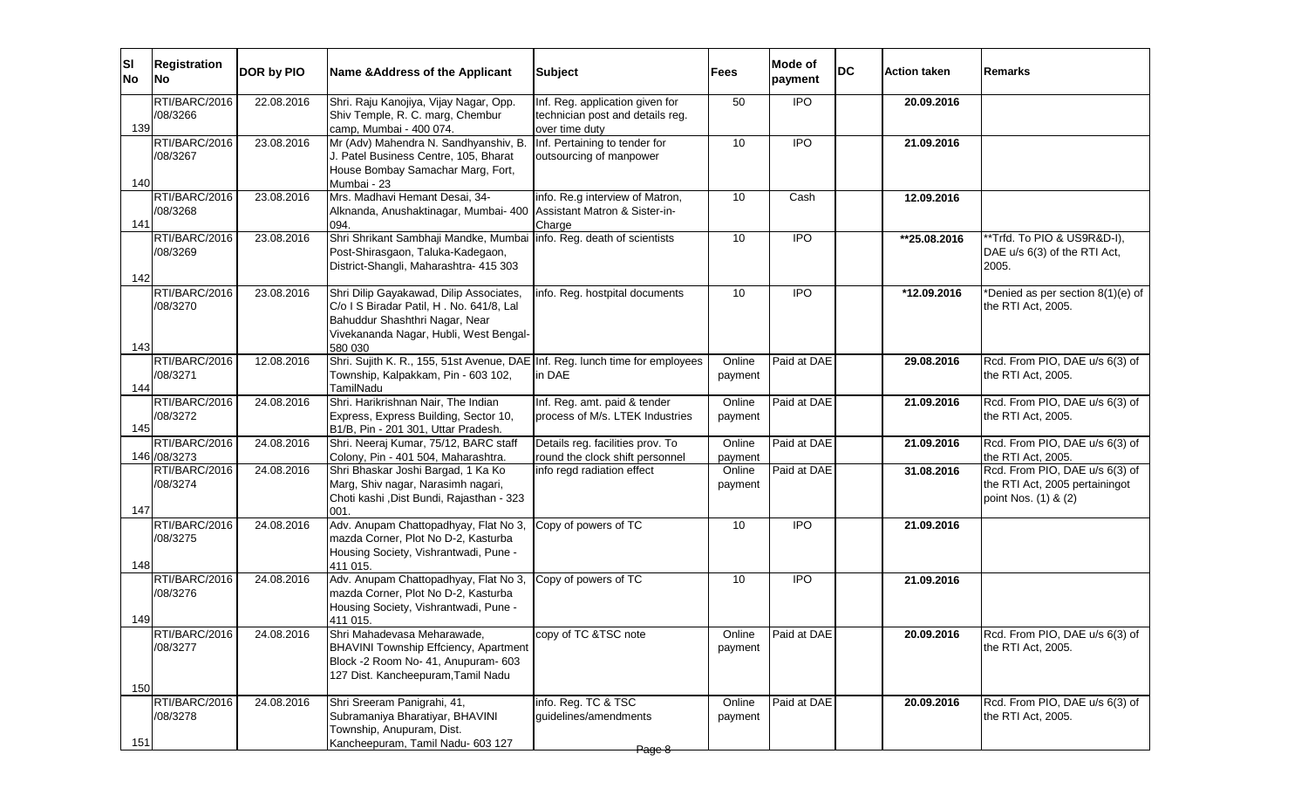| <b>SI</b><br><b>No</b> | <b>Registration</b><br>lNo.    | DOR by PIO | Name & Address of the Applicant                                                                                                                                            | <b>Subject</b>                                                                        | Fees              | Mode of<br>payment | <b>DC</b> | <b>Action taken</b> | <b>Remarks</b>                                                                           |
|------------------------|--------------------------------|------------|----------------------------------------------------------------------------------------------------------------------------------------------------------------------------|---------------------------------------------------------------------------------------|-------------------|--------------------|-----------|---------------------|------------------------------------------------------------------------------------------|
| 139                    | RTI/BARC/2016<br>/08/3266      | 22.08.2016 | Shri. Raju Kanojiya, Vijay Nagar, Opp.<br>Shiv Temple, R. C. marg, Chembur<br>camp, Mumbai - 400 074.                                                                      | Inf. Reg. application given for<br>technician post and details reg.<br>over time duty | 50                | <b>IPO</b>         |           | 20.09.2016          |                                                                                          |
| 140                    | RTI/BARC/2016<br>/08/3267      | 23.08.2016 | Mr (Adv) Mahendra N. Sandhyanshiv, B.<br>J. Patel Business Centre, 105, Bharat<br>House Bombay Samachar Marg, Fort,<br>Mumbai - 23                                         | Inf. Pertaining to tender for<br>outsourcing of manpower                              | 10                | <b>IPO</b>         |           | 21.09.2016          |                                                                                          |
| 141                    | RTI/BARC/2016<br>/08/3268      | 23.08.2016 | Mrs. Madhavi Hemant Desai, 34-<br>Alknanda, Anushaktinagar, Mumbai- 400 Assistant Matron & Sister-in-<br>094.                                                              | info. Re.g interview of Matron,<br>Charge                                             | 10                | Cash               |           | 12.09.2016          |                                                                                          |
| 142                    | RTI/BARC/2016<br>/08/3269      | 23.08.2016 | Shri Shrikant Sambhaji Mandke, Mumbai<br>Post-Shirasgaon, Taluka-Kadegaon,<br>District-Shangli, Maharashtra- 415 303                                                       | info. Reg. death of scientists                                                        | 10                | $\overline{1}$     |           | **25.08.2016        | **Trfd. To PIO & US9R&D-I),<br>DAE u/s 6(3) of the RTI Act,<br>2005.                     |
| 143                    | RTI/BARC/2016<br>/08/3270      | 23.08.2016 | Shri Dilip Gayakawad, Dilip Associates,<br>C/o I S Biradar Patil, H. No. 641/8, Lal<br>Bahuddur Shashthri Nagar, Near<br>Vivekananda Nagar, Hubli, West Bengal-<br>580 030 | info. Reg. hostpital documents                                                        | 10                | <b>IPO</b>         |           | *12.09.2016         | *Denied as per section 8(1)(e) of<br>the RTI Act, 2005.                                  |
| 144                    | RTI/BARC/2016<br>/08/3271      | 12.08.2016 | Shri. Sujith K. R., 155, 51st Avenue, DAE Inf. Reg. lunch time for employees<br>Township, Kalpakkam, Pin - 603 102,<br>TamilNadu                                           | in DAE                                                                                | Online<br>payment | Paid at DAE        |           | 29.08.2016          | Rcd. From PIO, DAE u/s 6(3) of<br>the RTI Act, 2005.                                     |
| 145                    | RTI/BARC/2016<br>/08/3272      | 24.08.2016 | Shri. Harikrishnan Nair, The Indian<br>Express, Express Building, Sector 10,<br>B1/B, Pin - 201 301, Uttar Pradesh.                                                        | Inf. Reg. amt. paid & tender<br>process of M/s. LTEK Industries                       | Online<br>payment | Paid at DAE        |           | 21.09.2016          | Rcd. From PIO, DAE u/s 6(3) of<br>the RTI Act, 2005.                                     |
|                        | RTI/BARC/2016<br>146 / 08/3273 | 24.08.2016 | Shri. Neeraj Kumar, 75/12, BARC staff<br>Colony, Pin - 401 504, Maharashtra.                                                                                               | Details reg. facilities prov. To<br>round the clock shift personnel                   | Online<br>payment | Paid at DAE        |           | 21.09.2016          | Rcd. From PIO, DAE u/s 6(3) of<br>the RTI Act, 2005.                                     |
| 147                    | RTI/BARC/2016<br>/08/3274      | 24.08.2016 | Shri Bhaskar Joshi Bargad, 1 Ka Ko<br>Marg, Shiv nagar, Narasimh nagari,<br>Choti kashi , Dist Bundi, Rajasthan - 323<br>001.                                              | info regd radiation effect                                                            | Online<br>payment | Paid at DAE        |           | 31.08.2016          | Rcd. From PIO, DAE u/s 6(3) of<br>the RTI Act, 2005 pertainingot<br>point Nos. (1) & (2) |
| 148                    | RTI/BARC/2016<br>/08/3275      | 24.08.2016 | Adv. Anupam Chattopadhyay, Flat No 3,<br>mazda Corner, Plot No D-2, Kasturba<br>Housing Society, Vishrantwadi, Pune -<br>411 015.                                          | Copy of powers of TC                                                                  | 10                | <b>IPO</b>         |           | 21.09.2016          |                                                                                          |
| 149                    | RTI/BARC/2016<br>/08/3276      | 24.08.2016 | Adv. Anupam Chattopadhyay, Flat No 3,<br>mazda Corner, Plot No D-2, Kasturba<br>Housing Society, Vishrantwadi, Pune -<br>411 015.                                          | Copy of powers of TC                                                                  | 10                | <b>IPO</b>         |           | 21.09.2016          |                                                                                          |
| 150                    | RTI/BARC/2016<br>/08/3277      | 24.08.2016 | Shri Mahadevasa Meharawade,<br>BHAVINI Township Effciency, Apartment<br>Block -2 Room No- 41, Anupuram- 603<br>127 Dist. Kancheepuram, Tamil Nadu                          | copy of TC & TSC note                                                                 | Online<br>payment | Paid at DAE        |           | 20.09.2016          | Rcd. From PIO, DAE u/s 6(3) of<br>the RTI Act, 2005.                                     |
| 151                    | RTI/BARC/2016<br>/08/3278      | 24.08.2016 | Shri Sreeram Panigrahi, 41,<br>Subramaniya Bharatiyar, BHAVINI<br>Township, Anupuram, Dist.<br>Kancheepuram, Tamil Nadu- 603 127                                           | info. Reg. TC & TSC<br>guidelines/amendments<br>Page 8                                | Online<br>payment | Paid at DAE        |           | 20.09.2016          | Rcd. From PIO, DAE u/s 6(3) of<br>the RTI Act, 2005.                                     |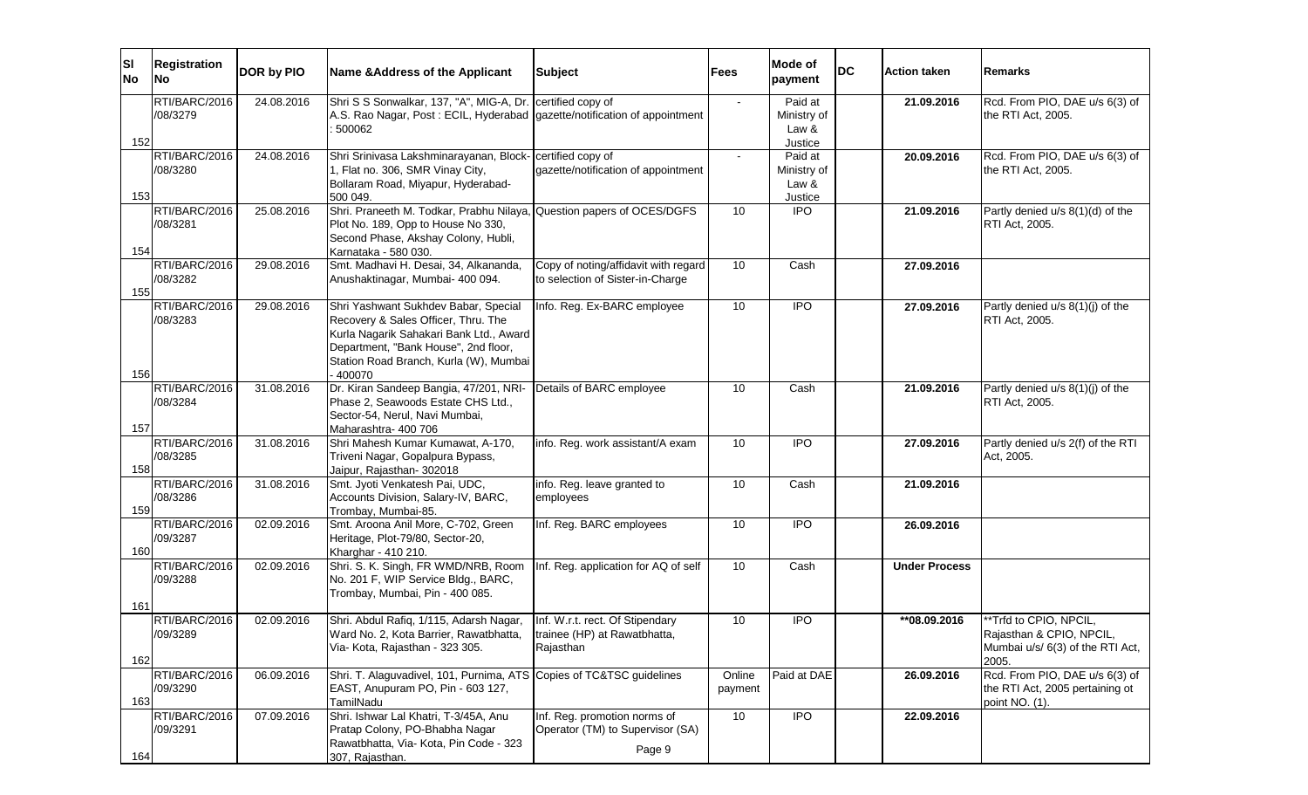| ΙSΙ<br><b>No</b> | <b>Registration</b><br><b>No</b> | DOR by PIO | Name & Address of the Applicant                                                                                                                                                                                    | <b>Subject</b>                                                             | <b>Fees</b>       | Mode of<br>payment                         | <b>DC</b> | <b>Action taken</b>  | Remarks                                                                                         |
|------------------|----------------------------------|------------|--------------------------------------------------------------------------------------------------------------------------------------------------------------------------------------------------------------------|----------------------------------------------------------------------------|-------------------|--------------------------------------------|-----------|----------------------|-------------------------------------------------------------------------------------------------|
| 152              | RTI/BARC/2016<br>/08/3279        | 24.08.2016 | Shri S S Sonwalkar, 137, "A", MIG-A, Dr. certified copy of<br>A.S. Rao Nagar, Post: ECIL, Hyderabad gazette/notification of appointment<br>500062                                                                  |                                                                            |                   | Paid at<br>Ministry of<br>Law &<br>Justice |           | 21.09.2016           | Rcd. From PIO, DAE u/s 6(3) of<br>the RTI Act, 2005.                                            |
| 153              | RTI/BARC/2016<br>/08/3280        | 24.08.2016 | Shri Srinivasa Lakshminarayanan, Block- certified copy of<br>1, Flat no. 306, SMR Vinay City,<br>Bollaram Road, Miyapur, Hyderabad-<br>500 049.                                                                    | gazette/notification of appointment                                        |                   | Paid at<br>Ministry of<br>Law &<br>Justice |           | 20.09.2016           | Rcd. From PIO, DAE u/s 6(3) of<br>the RTI Act, 2005.                                            |
| 154              | RTI/BARC/2016<br>/08/3281        | 25.08.2016 | Shri. Praneeth M. Todkar, Prabhu Nilaya, Question papers of OCES/DGFS<br>Plot No. 189, Opp to House No 330,<br>Second Phase, Akshay Colony, Hubli,<br>Karnataka - 580 030.                                         |                                                                            | 10                | $\overline{1}$                             |           | 21.09.2016           | Partly denied u/s 8(1)(d) of the<br>RTI Act, 2005.                                              |
| 155              | RTI/BARC/2016<br>/08/3282        | 29.08.2016 | Smt. Madhavi H. Desai, 34, Alkananda,<br>Anushaktinagar, Mumbai- 400 094.                                                                                                                                          | Copy of noting/affidavit with regard<br>to selection of Sister-in-Charge   | 10                | Cash                                       |           | 27.09.2016           |                                                                                                 |
| 156              | RTI/BARC/2016<br>/08/3283        | 29.08.2016 | Shri Yashwant Sukhdev Babar, Special<br>Recovery & Sales Officer, Thru. The<br>Kurla Nagarik Sahakari Bank Ltd., Award<br>Department, "Bank House", 2nd floor,<br>Station Road Branch, Kurla (W), Mumbai<br>400070 | Info. Reg. Ex-BARC employee                                                | 10                | $\overline{IPO}$                           |           | 27.09.2016           | Partly denied u/s 8(1)(j) of the<br>RTI Act, 2005.                                              |
| 157              | RTI/BARC/2016<br>/08/3284        | 31.08.2016 | Dr. Kiran Sandeep Bangia, 47/201, NRI- Details of BARC employee<br>Phase 2, Seawoods Estate CHS Ltd.,<br>Sector-54, Nerul, Navi Mumbai,<br>Maharashtra- 400 706                                                    |                                                                            | 10                | Cash                                       |           | 21.09.2016           | Partly denied u/s 8(1)(j) of the<br>RTI Act, 2005.                                              |
| 158              | RTI/BARC/2016<br>/08/3285        | 31.08.2016 | Shri Mahesh Kumar Kumawat, A-170,<br>Triveni Nagar, Gopalpura Bypass,<br>Jaipur, Rajasthan- 302018                                                                                                                 | info. Reg. work assistant/A exam                                           | 10                | <b>IPO</b>                                 |           | 27.09.2016           | Partly denied u/s 2(f) of the RTI<br>Act, 2005.                                                 |
| 159              | RTI/BARC/2016<br>/08/3286        | 31.08.2016 | Smt. Jyoti Venkatesh Pai, UDC,<br>Accounts Division, Salary-IV, BARC,<br>Trombay, Mumbai-85.                                                                                                                       | info. Reg. leave granted to<br>employees                                   | 10                | Cash                                       |           | 21.09.2016           |                                                                                                 |
| 160              | RTI/BARC/2016<br>/09/3287        | 02.09.2016 | Smt. Aroona Anil More, C-702, Green<br>Heritage, Plot-79/80, Sector-20,<br>Kharghar - 410 210.                                                                                                                     | Inf. Reg. BARC employees                                                   | 10                | <b>IPO</b>                                 |           | 26.09.2016           |                                                                                                 |
| 161              | RTI/BARC/2016<br>/09/3288        | 02.09.2016 | Shri. S. K. Singh, FR WMD/NRB, Room<br>No. 201 F, WIP Service Bldg., BARC,<br>Trombay, Mumbai, Pin - 400 085.                                                                                                      | Inf. Reg. application for AQ of self                                       | 10                | Cash                                       |           | <b>Under Process</b> |                                                                                                 |
| 162              | RTI/BARC/2016<br>/09/3289        | 02.09.2016 | Shri. Abdul Rafiq, 1/115, Adarsh Nagar,  Inf. W.r.t. rect. Of Stipendary<br>Ward No. 2, Kota Barrier, Rawatbhatta,<br>Via- Kota, Rajasthan - 323 305.                                                              | trainee (HP) at Rawatbhatta,<br>Rajasthan                                  | 10                | <b>IPO</b>                                 |           | **08.09.2016         | **Trfd to CPIO, NPCIL,<br>Rajasthan & CPIO, NPCIL,<br>Mumbai u/s/ 6(3) of the RTI Act,<br>2005. |
| 163              | RTI/BARC/2016<br>/09/3290        | 06.09.2016 | Shri. T. Alaguvadivel, 101, Purnima, ATS Copies of TC&TSC guidelines<br>EAST, Anupuram PO, Pin - 603 127,<br>TamilNadu                                                                                             |                                                                            | Online<br>payment | Paid at DAE                                |           | 26.09.2016           | Rcd. From PIO, DAE u/s 6(3) of<br>the RTI Act, 2005 pertaining ot<br>point NO. (1).             |
| 164              | RTI/BARC/2016<br>/09/3291        | 07.09.2016 | Shri. Ishwar Lal Khatri, T-3/45A, Anu<br>Pratap Colony, PO-Bhabha Nagar<br>Rawatbhatta, Via- Kota, Pin Code - 323<br>307, Rajasthan.                                                                               | Inf. Reg. promotion norms of<br>Operator (TM) to Supervisor (SA)<br>Page 9 | 10                | <b>IPO</b>                                 |           | 22.09.2016           |                                                                                                 |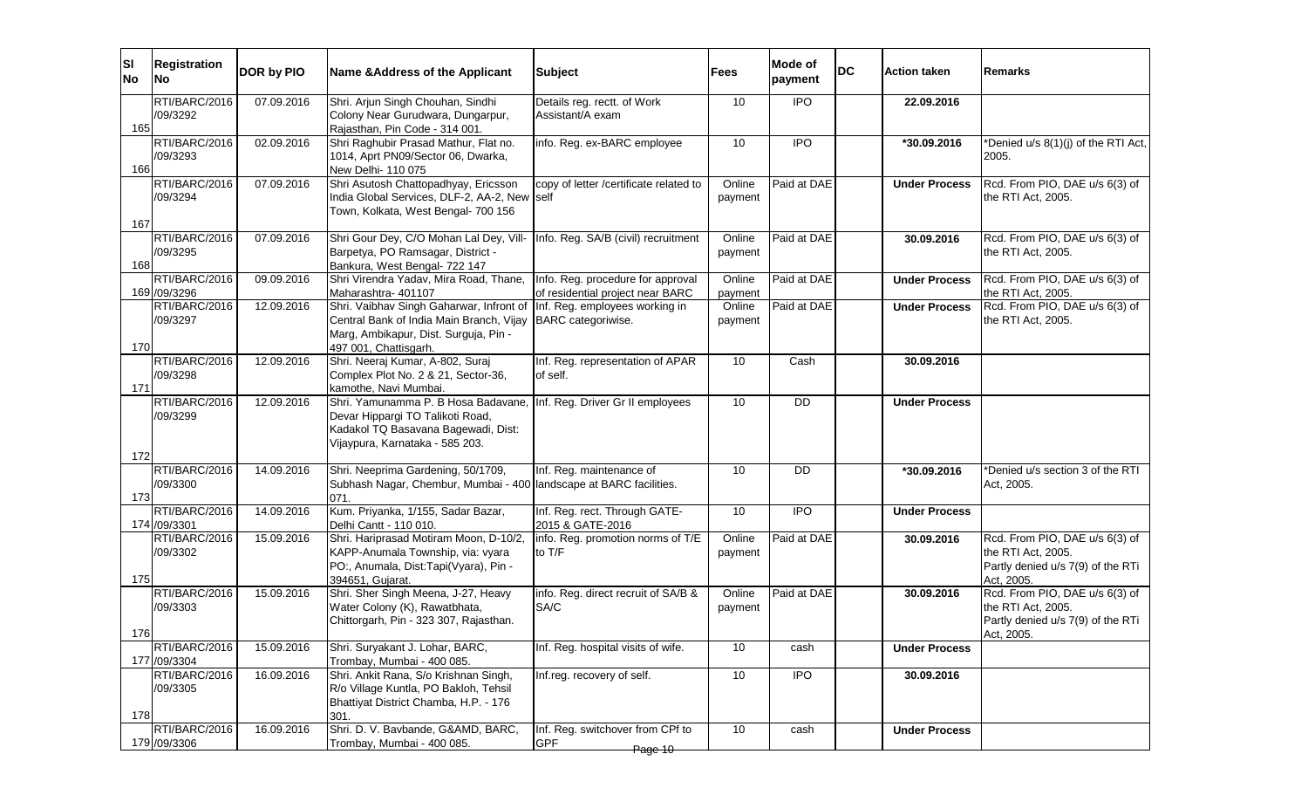| lsı<br><b>No</b> | <b>Registration</b><br>lNo.   | DOR by PIO | Name & Address of the Applicant                                                                                                                                                    | <b>Subject</b>                                                     | Fees              | Mode of<br>payment | <b>DC</b> | <b>Action taken</b>  | lRemarks                                                                                                |
|------------------|-------------------------------|------------|------------------------------------------------------------------------------------------------------------------------------------------------------------------------------------|--------------------------------------------------------------------|-------------------|--------------------|-----------|----------------------|---------------------------------------------------------------------------------------------------------|
|                  | RTI/BARC/2016                 | 07.09.2016 | Shri. Arjun Singh Chouhan, Sindhi                                                                                                                                                  | Details reg. rectt. of Work                                        | 10                | $\overline{1}$     |           | 22.09.2016           |                                                                                                         |
| 165              | /09/3292                      |            | Colony Near Gurudwara, Dungarpur,<br>Rajasthan, Pin Code - 314 001.                                                                                                                | Assistant/A exam                                                   |                   |                    |           |                      |                                                                                                         |
| 166              | RTI/BARC/2016<br>/09/3293     | 02.09.2016 | Shri Raghubir Prasad Mathur, Flat no.<br>1014, Aprt PN09/Sector 06, Dwarka,<br>New Delhi- 110 075                                                                                  | info. Reg. ex-BARC employee                                        | 10                | <b>IPO</b>         |           | *30.09.2016          | *Denied u/s 8(1)(j) of the RTI Act,<br>2005.                                                            |
| 167              | RTI/BARC/2016<br>/09/3294     | 07.09.2016 | Shri Asutosh Chattopadhyay, Ericsson<br>India Global Services, DLF-2, AA-2, New self<br>Town, Kolkata, West Bengal- 700 156                                                        | copy of letter /certificate related to                             | Online<br>payment | Paid at DAE        |           | <b>Under Process</b> | Rcd. From PIO, DAE u/s 6(3) of<br>the RTI Act, 2005.                                                    |
| 168              | RTI/BARC/2016<br>/09/3295     | 07.09.2016 | Shri Gour Dey, C/O Mohan Lal Dey, Vill- Info. Reg. SA/B (civil) recruitment<br>Barpetya, PO Ramsagar, District -<br>Bankura, West Bengal- 722 147                                  |                                                                    | Online<br>payment | Paid at DAE        |           | 30.09.2016           | Rcd. From PIO, DAE u/s 6(3) of<br>the RTI Act, 2005.                                                    |
|                  | RTI/BARC/2016                 | 09.09.2016 | Shri Virendra Yadav, Mira Road, Thane,                                                                                                                                             | Info. Reg. procedure for approval                                  | Online            | Paid at DAE        |           | <b>Under Process</b> | Rcd. From PIO, DAE u/s 6(3) of                                                                          |
|                  | 169 /09/3296<br>RTI/BARC/2016 | 12.09.2016 | Maharashtra- 401107<br>Shri. Vaibhav Singh Gaharwar, Infront of                                                                                                                    | of residential project near BARC<br>Inf. Reg. employees working in | payment<br>Online | Paid at DAE        |           |                      | the RTI Act, 2005.<br>Rcd. From PIO, DAE u/s 6(3) of                                                    |
| 170              | /09/3297                      |            | Central Bank of India Main Branch, Vijay BARC categoriwise.<br>Marg, Ambikapur, Dist. Surguja, Pin -<br>497 001, Chattisgarh.                                                      |                                                                    | payment           |                    |           | <b>Under Process</b> | the RTI Act, 2005.                                                                                      |
| 171              | RTI/BARC/2016<br>/09/3298     | 12.09.2016 | Shri. Neeraj Kumar, A-802, Suraj<br>Complex Plot No. 2 & 21, Sector-36,<br>kamothe. Navi Mumbai.                                                                                   | Inf. Reg. representation of APAR<br>of self.                       | 10                | Cash               |           | 30.09.2016           |                                                                                                         |
| 172              | RTI/BARC/2016<br>/09/3299     | 12.09.2016 | Shri. Yamunamma P. B Hosa Badavane, Inf. Reg. Driver Gr II employees<br>Devar Hippargi TO Talikoti Road,<br>Kadakol TQ Basavana Bagewadi, Dist:<br>Vijaypura, Karnataka - 585 203. |                                                                    | 10                | <b>DD</b>          |           | <b>Under Process</b> |                                                                                                         |
| 173              | RTI/BARC/2016<br>/09/3300     | 14.09.2016 | Shri. Neeprima Gardening, 50/1709,<br>Subhash Nagar, Chembur, Mumbai - 400 landscape at BARC facilities.<br>071.                                                                   | Inf. Reg. maintenance of                                           | 10                | DD                 |           | *30.09.2016          | *Denied u/s section 3 of the RTI<br>Act, 2005.                                                          |
|                  | RTI/BARC/2016<br>174 /09/3301 | 14.09.2016 | Kum. Priyanka, 1/155, Sadar Bazar,<br>Delhi Cantt - 110 010.                                                                                                                       | Inf. Reg. rect. Through GATE-<br>2015 & GATE-2016                  | 10                | $\overline{1}$     |           | <b>Under Process</b> |                                                                                                         |
| 175              | RTI/BARC/2016<br>/09/3302     | 15.09.2016 | Shri. Hariprasad Motiram Moon, D-10/2,<br>KAPP-Anumala Township, via: vyara<br>PO:, Anumala, Dist:Tapi(Vyara), Pin -<br>394651, Gujarat.                                           | info. Reg. promotion norms of T/E<br>to T/F                        | Online<br>payment | Paid at DAE        |           | 30.09.2016           | Rcd. From PIO, DAE u/s 6(3) of<br>the RTI Act, 2005.<br>Partly denied u/s 7(9) of the RTi<br>Act, 2005. |
| 176              | RTI/BARC/2016<br>/09/3303     | 15.09.2016 | Shri. Sher Singh Meena, J-27, Heavy<br>Water Colony (K), Rawatbhata,<br>Chittorgarh, Pin - 323 307, Rajasthan.                                                                     | info. Reg. direct recruit of SA/B &<br>SA/C                        | Online<br>payment | Paid at DAE        |           | 30.09.2016           | Rcd. From PIO, DAE u/s 6(3) of<br>the RTI Act, 2005.<br>Partly denied u/s 7(9) of the RTi<br>Act, 2005. |
|                  | RTI/BARC/2016<br>177 /09/3304 | 15.09.2016 | Shri. Suryakant J. Lohar, BARC,<br>Trombay, Mumbai - 400 085.                                                                                                                      | Inf. Reg. hospital visits of wife.                                 | 10                | cash               |           | <b>Under Process</b> |                                                                                                         |
| 178              | RTI/BARC/2016<br>/09/3305     | 16.09.2016 | Shri. Ankit Rana, S/o Krishnan Singh,<br>R/o Village Kuntla, PO Bakloh, Tehsil<br>Bhattiyat District Chamba, H.P. - 176<br>301.                                                    | Inf.reg. recovery of self.                                         | 10                | <b>IPO</b>         |           | 30.09.2016           |                                                                                                         |
|                  | RTI/BARC/2016<br>179 /09/3306 | 16.09.2016 | Shri. D. V. Bavbande, G&AMD, BARC,<br>Trombay, Mumbai - 400 085.                                                                                                                   | Inf. Reg. switchover from CPf to<br><b>GPF</b><br>Page 10          | 10                | cash               |           | <b>Under Process</b> |                                                                                                         |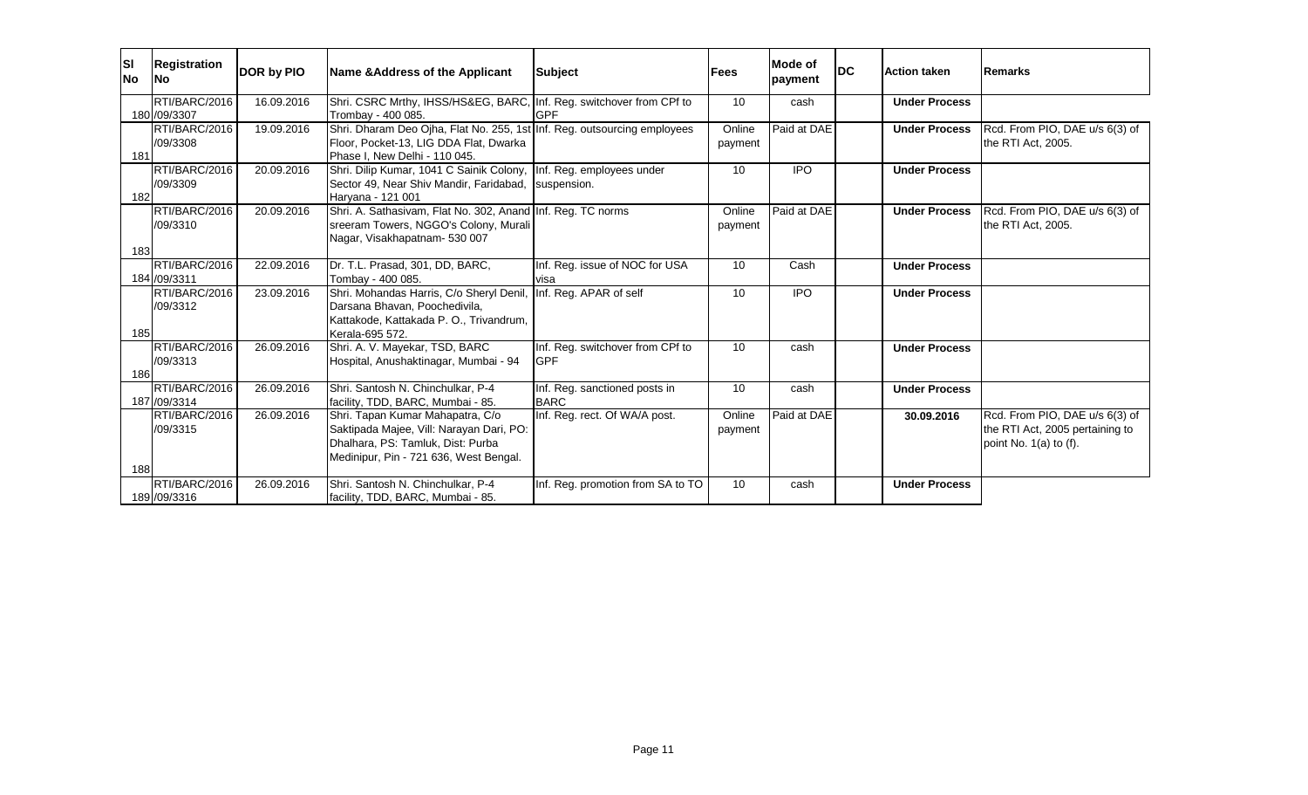| <b>SI</b><br>No | <b>Registration</b><br>lNo.   | DOR by PIO | Name & Address of the Applicant                                                            | Subject                           | Fees    | Mode of<br>payment | <b>IDC</b> | <b>Action taken</b>  | Remarks                         |
|-----------------|-------------------------------|------------|--------------------------------------------------------------------------------------------|-----------------------------------|---------|--------------------|------------|----------------------|---------------------------------|
|                 | RTI/BARC/2016<br>180 /09/3307 | 16.09.2016 | Shri. CSRC Mrthy, IHSS/HS&EG, BARC, Inf. Reg. switchover from CPf to<br>Trombay - 400 085. | <b>IGPF</b>                       | 10      | cash               |            | <b>Under Process</b> |                                 |
|                 | RTI/BARC/2016                 | 19.09.2016 | Shri. Dharam Deo Ojha, Flat No. 255, 1st Inf. Reg. outsourcing employees                   |                                   | Online  | Paid at DAE        |            | <b>Under Process</b> | Rcd. From PIO, DAE u/s 6(3) of  |
|                 | /09/3308                      |            | Floor, Pocket-13, LIG DDA Flat, Dwarka                                                     |                                   | payment |                    |            |                      | the RTI Act, 2005.              |
| 181             |                               |            | Phase I. New Delhi - 110 045.                                                              |                                   |         |                    |            |                      |                                 |
|                 | RTI/BARC/2016                 | 20.09.2016 | Shri. Dilip Kumar, 1041 C Sainik Colony, Inf. Reg. employees under                         |                                   | 10      | <b>IPO</b>         |            | <b>Under Process</b> |                                 |
|                 | /09/3309                      |            | Sector 49, Near Shiv Mandir, Faridabad, Suspension.                                        |                                   |         |                    |            |                      |                                 |
| 182             |                               |            | Harvana - 121 001                                                                          |                                   |         |                    |            |                      |                                 |
|                 | RTI/BARC/2016                 | 20.09.2016 | Shri. A. Sathasivam, Flat No. 302, Anand Inf. Reg. TC norms                                |                                   | Online  | Paid at DAE        |            | <b>Under Process</b> | Rcd. From PIO, DAE u/s 6(3) of  |
|                 | /09/3310                      |            | sreeram Towers, NGGO's Colony, Murali                                                      |                                   | payment |                    |            |                      | the RTI Act, 2005.              |
|                 |                               |            | Nagar, Visakhapatnam- 530 007                                                              |                                   |         |                    |            |                      |                                 |
| 183             |                               |            |                                                                                            |                                   |         |                    |            |                      |                                 |
|                 | RTI/BARC/2016<br>184 /09/3311 | 22.09.2016 | Dr. T.L. Prasad, 301, DD, BARC,                                                            | Inf. Reg. issue of NOC for USA    | 10      | Cash               |            | <b>Under Process</b> |                                 |
|                 | RTI/BARC/2016                 | 23.09.2016 | Tombay - 400 085.<br>Shri. Mohandas Harris, C/o Sheryl Denil, Inf. Reg. APAR of self       | <b>I</b> visa                     | 10      | <b>IPO</b>         |            | <b>Under Process</b> |                                 |
|                 | /09/3312                      |            | Darsana Bhavan, Poochedivila,                                                              |                                   |         |                    |            |                      |                                 |
|                 |                               |            | Kattakode, Kattakada P. O., Trivandrum,                                                    |                                   |         |                    |            |                      |                                 |
| 185             |                               |            | Kerala-695 572.                                                                            |                                   |         |                    |            |                      |                                 |
|                 | RTI/BARC/2016                 | 26.09.2016 | Shri. A. V. Mayekar, TSD, BARC                                                             | Inf. Reg. switchover from CPf to  | 10      | cash               |            | <b>Under Process</b> |                                 |
|                 | /09/3313                      |            | Hospital, Anushaktinagar, Mumbai - 94                                                      | <b>GPF</b>                        |         |                    |            |                      |                                 |
| 186             |                               |            |                                                                                            |                                   |         |                    |            |                      |                                 |
|                 | RTI/BARC/2016                 | 26.09.2016 | Shri. Santosh N. Chinchulkar, P-4                                                          | Inf. Reg. sanctioned posts in     | 10      | cash               |            | <b>Under Process</b> |                                 |
|                 | 187 /09/3314                  |            | facility, TDD, BARC, Mumbai - 85.                                                          | <b>BARC</b>                       |         |                    |            |                      |                                 |
|                 | RTI/BARC/2016                 | 26.09.2016 | Shri. Tapan Kumar Mahapatra, C/o                                                           | Inf. Reg. rect. Of WA/A post.     | Online  | Paid at DAE        |            | 30.09.2016           | Rcd. From PIO, DAE u/s 6(3) of  |
|                 | /09/3315                      |            | Saktipada Majee, Vill: Narayan Dari, PO:                                                   |                                   | payment |                    |            |                      | the RTI Act, 2005 pertaining to |
|                 |                               |            | Dhalhara, PS: Tamluk, Dist: Purba                                                          |                                   |         |                    |            |                      | point No. $1(a)$ to $(f)$ .     |
| 188             |                               |            | Medinipur, Pin - 721 636, West Bengal.                                                     |                                   |         |                    |            |                      |                                 |
|                 | RTI/BARC/2016                 | 26.09.2016 | Shri. Santosh N. Chinchulkar, P-4                                                          | Inf. Reg. promotion from SA to TO | 10      | cash               |            | <b>Under Process</b> |                                 |
|                 | 189 /09/3316                  |            | facility, TDD, BARC, Mumbai - 85.                                                          |                                   |         |                    |            |                      |                                 |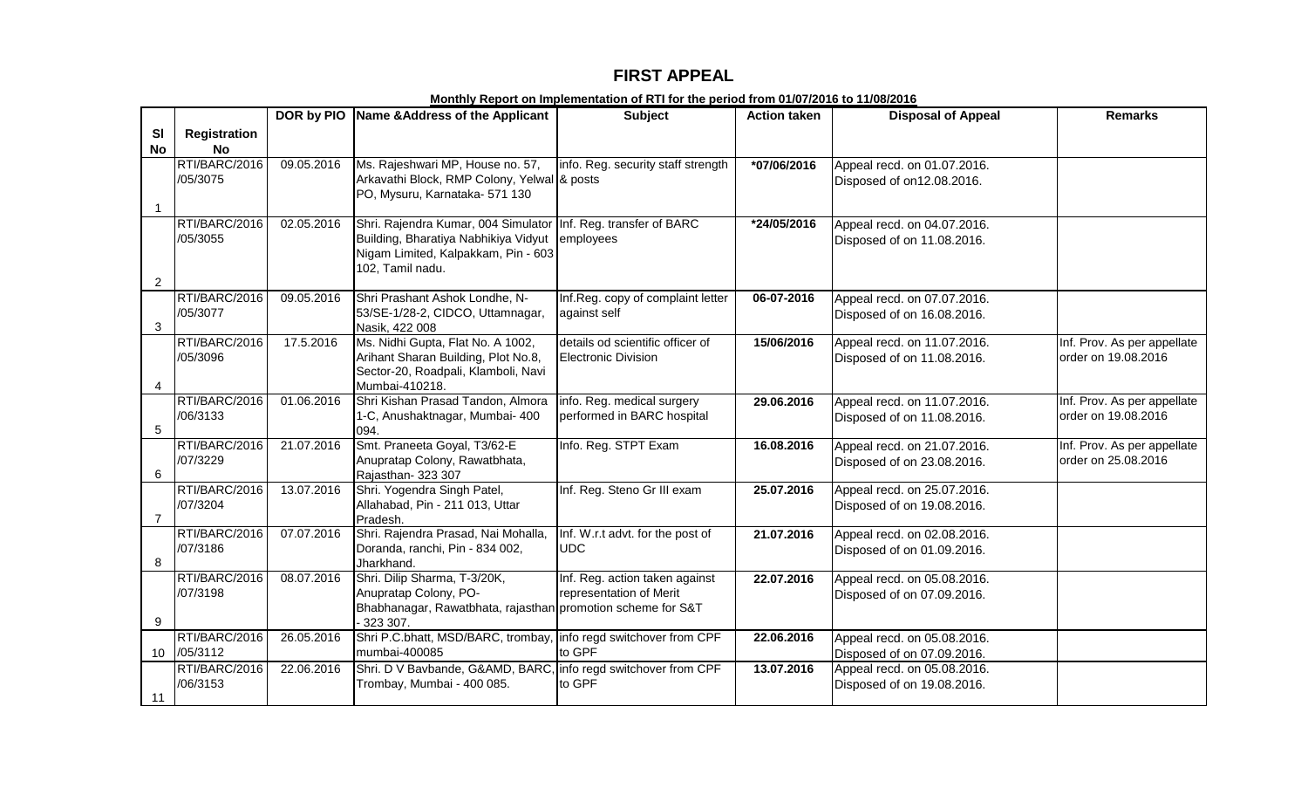## **FIRST APPEAL**

|                |                           |            | DOR by PIO Name & Address of the Applicant                                                             | Subject                                 | <b>Action taken</b> | <b>Disposal of Appeal</b>                                 | <b>Remarks</b>              |
|----------------|---------------------------|------------|--------------------------------------------------------------------------------------------------------|-----------------------------------------|---------------------|-----------------------------------------------------------|-----------------------------|
| <b>SI</b>      | Registration              |            |                                                                                                        |                                         |                     |                                                           |                             |
| <b>No</b>      | <b>No</b>                 |            |                                                                                                        |                                         |                     |                                                           |                             |
|                | RTI/BARC/2016             | 09.05.2016 | Ms. Rajeshwari MP, House no. 57,                                                                       | info. Reg. security staff strength      | *07/06/2016         | Appeal recd. on 01.07.2016.                               |                             |
|                | /05/3075                  |            | Arkavathi Block, RMP Colony, Yelwal & posts                                                            |                                         |                     | Disposed of on12.08.2016.                                 |                             |
|                |                           |            | PO, Mysuru, Karnataka- 571 130                                                                         |                                         |                     |                                                           |                             |
| $\mathbf 1$    | RTI/BARC/2016             |            |                                                                                                        |                                         |                     |                                                           |                             |
|                | /05/3055                  | 02.05.2016 | Shri. Rajendra Kumar, 004 Simulator Inf. Reg. transfer of BARC<br>Building, Bharatiya Nabhikiya Vidyut | employees                               | *24/05/2016         | Appeal recd. on 04.07.2016.<br>Disposed of on 11.08.2016. |                             |
|                |                           |            | Nigam Limited, Kalpakkam, Pin - 603                                                                    |                                         |                     |                                                           |                             |
|                |                           |            | 102, Tamil nadu.                                                                                       |                                         |                     |                                                           |                             |
| $\overline{2}$ |                           |            |                                                                                                        |                                         |                     |                                                           |                             |
|                | RTI/BARC/2016             | 09.05.2016 | Shri Prashant Ashok Londhe, N-                                                                         | Inf.Reg. copy of complaint letter       | 06-07-2016          | Appeal recd. on 07.07.2016.                               |                             |
|                | /05/3077                  |            | 53/SE-1/28-2, CIDCO, Uttamnagar,                                                                       | against self                            |                     | Disposed of on 16.08.2016.                                |                             |
| 3              |                           |            | Nasik, 422 008                                                                                         |                                         |                     |                                                           |                             |
|                | RTI/BARC/2016             | 17.5.2016  | Ms. Nidhi Gupta, Flat No. A 1002,                                                                      | details od scientific officer of        | 15/06/2016          | Appeal recd. on 11.07.2016.                               | Inf. Prov. As per appellate |
|                | /05/3096                  |            | Arihant Sharan Building, Plot No.8,                                                                    | <b>Electronic Division</b>              |                     | Disposed of on 11.08.2016.                                | order on 19.08.2016         |
| 4              |                           |            | Sector-20, Roadpali, Klamboli, Navi<br>Mumbai-410218.                                                  |                                         |                     |                                                           |                             |
|                | RTI/BARC/2016             | 01.06.2016 | Shri Kishan Prasad Tandon, Almora                                                                      | info. Reg. medical surgery              | 29.06.2016          | Appeal recd. on 11.07.2016.                               | Inf. Prov. As per appellate |
|                | /06/3133                  |            | 1-C, Anushaktnagar, Mumbai- 400                                                                        | performed in BARC hospital              |                     | Disposed of on 11.08.2016.                                | order on 19.08.2016         |
| 5              |                           |            | 094.                                                                                                   |                                         |                     |                                                           |                             |
|                | RTI/BARC/2016             | 21.07.2016 | Smt. Praneeta Goyal, T3/62-E                                                                           | Info. Reg. STPT Exam                    | 16.08.2016          | Appeal recd. on 21.07.2016.                               | Inf. Prov. As per appellate |
|                | /07/3229                  |            | Anupratap Colony, Rawatbhata,                                                                          |                                         |                     | Disposed of on 23.08.2016.                                | order on 25.08.2016         |
| 6              |                           |            | Rajasthan-323 307                                                                                      |                                         |                     |                                                           |                             |
|                | RTI/BARC/2016             | 13.07.2016 | Shri. Yogendra Singh Patel,                                                                            | Inf. Reg. Steno Gr III exam             | 25.07.2016          | Appeal recd. on 25.07.2016.                               |                             |
| $\overline{7}$ | /07/3204                  |            | Allahabad, Pin - 211 013, Uttar<br>Pradesh.                                                            |                                         |                     | Disposed of on 19.08.2016.                                |                             |
|                | RTI/BARC/2016             | 07.07.2016 | Shri. Rajendra Prasad, Nai Mohalla,                                                                    | Inf. W.r.t advt. for the post of        | 21.07.2016          | Appeal recd. on 02.08.2016.                               |                             |
|                | /07/3186                  |            | Doranda, ranchi, Pin - 834 002,                                                                        | UDC                                     |                     | Disposed of on 01.09.2016.                                |                             |
| 8              |                           |            | Jharkhand.                                                                                             |                                         |                     |                                                           |                             |
|                | RTI/BARC/2016             | 08.07.2016 | Shri. Dilip Sharma, T-3/20K,                                                                           | Inf. Reg. action taken against          | 22.07.2016          | Appeal recd. on 05.08.2016.                               |                             |
|                | /07/3198                  |            | Anupratap Colony, PO-                                                                                  | representation of Merit                 |                     | Disposed of on 07.09.2016.                                |                             |
|                |                           |            | Bhabhanagar, Rawatbhata, rajasthan promotion scheme for S&T                                            |                                         |                     |                                                           |                             |
| 9              |                           |            | 323 307.                                                                                               |                                         |                     |                                                           |                             |
|                | RTI/BARC/2016             | 26.05.2016 | Shri P.C.bhatt, MSD/BARC, trombay,                                                                     | info regd switchover from CPF<br>to GPF | 22.06.2016          | Appeal recd. on 05.08.2016.                               |                             |
| 10             | /05/3112                  |            | mumbai-400085                                                                                          |                                         |                     | Disposed of on 07.09.2016.                                |                             |
|                | RTI/BARC/2016<br>/06/3153 | 22.06.2016 | Shri. D V Bavbande, G&AMD, BARC, info regd switchover from CPF<br>Trombay, Mumbai - 400 085.           | to GPF                                  | 13.07.2016          | Appeal recd. on 05.08.2016.                               |                             |
| 11             |                           |            |                                                                                                        |                                         |                     | Disposed of on 19.08.2016.                                |                             |

**Monthly Report on Implementation of RTI for the period from 01/07/2016 to 11/08/2016**